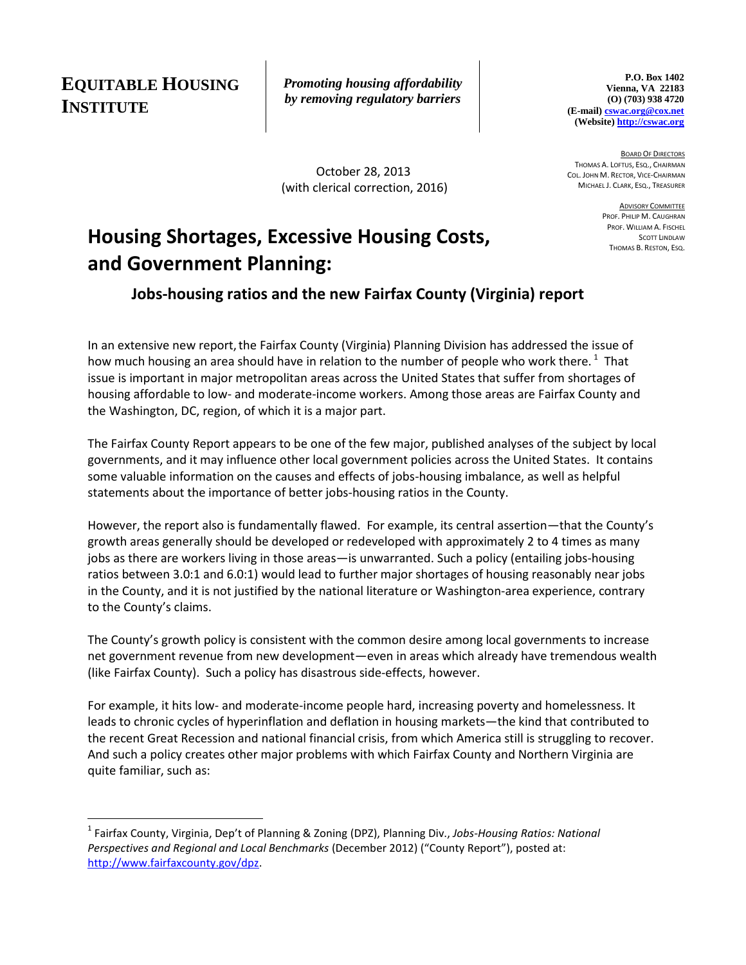**EQUITABLE HOUSING INSTITUTE**

 $\overline{\phantom{a}}$ 

*Promoting housing affordability by removing regulatory barriers*

 October 28, 2013 (with clerical correction, 2016)

**P.O. Box 1402 Vienna, VA 22183 (O) (703) 938 4720 (E-mail[\) cswac.org@cox.net](mailto:cswac.org@cox.net) (Website[\) http://cswac.org](http://cswac.org/)**

BOARD OF DIRECTORS THOMAS A. LOFTUS, ESQ., CHAIRMAN COL. JOHN M. RECTOR, VICE-CHAIRMAN MICHAEL J. CLARK, ESQ., TREASURER

> ADVISORY COMMITTEE PROF. PHILIP M. CAUGHRAN PROF. WILLIAM A. FISCHEL SCOTT LINDLAW THOMAS B. RESTON, ESQ.

# **Housing Shortages, Excessive Housing Costs, and Government Planning:**

### **Jobs-housing ratios and the new Fairfax County (Virginia) report**

In an extensive new report, the Fairfax County (Virginia) Planning Division has addressed the issue of how much housing an area should have in relation to the number of people who work there.<sup>1</sup> That issue is important in major metropolitan areas across the United States that suffer from shortages of housing affordable to low- and moderate-income workers. Among those areas are Fairfax County and the Washington, DC, region, of which it is a major part.

The Fairfax County Report appears to be one of the few major, published analyses of the subject by local governments, and it may influence other local government policies across the United States. It contains some valuable information on the causes and effects of jobs-housing imbalance, as well as helpful statements about the importance of better jobs-housing ratios in the County.

However, the report also is fundamentally flawed. For example, its central assertion—that the County's growth areas generally should be developed or redeveloped with approximately 2 to 4 times as many jobs as there are workers living in those areas—is unwarranted. Such a policy (entailing jobs-housing ratios between 3.0:1 and 6.0:1) would lead to further major shortages of housing reasonably near jobs in the County, and it is not justified by the national literature or Washington-area experience, contrary to the County's claims.

The County's growth policy is consistent with the common desire among local governments to increase net government revenue from new development—even in areas which already have tremendous wealth (like Fairfax County). Such a policy has disastrous side-effects, however.

For example, it hits low- and moderate-income people hard, increasing poverty and homelessness. It leads to chronic cycles of hyperinflation and deflation in housing markets—the kind that contributed to the recent Great Recession and national financial crisis, from which America still is struggling to recover. And such a policy creates other major problems with which Fairfax County and Northern Virginia are quite familiar, such as:

<sup>1</sup> Fairfax County, Virginia, Dep't of Planning & Zoning (DPZ), Planning Div., *Jobs-Housing Ratios: National Perspectives and Regional and Local Benchmarks* (December 2012) ("County Report"), posted at: [http://www.fairfaxcounty.gov/dpz.](http://www.fairfaxcounty.gov/dpz)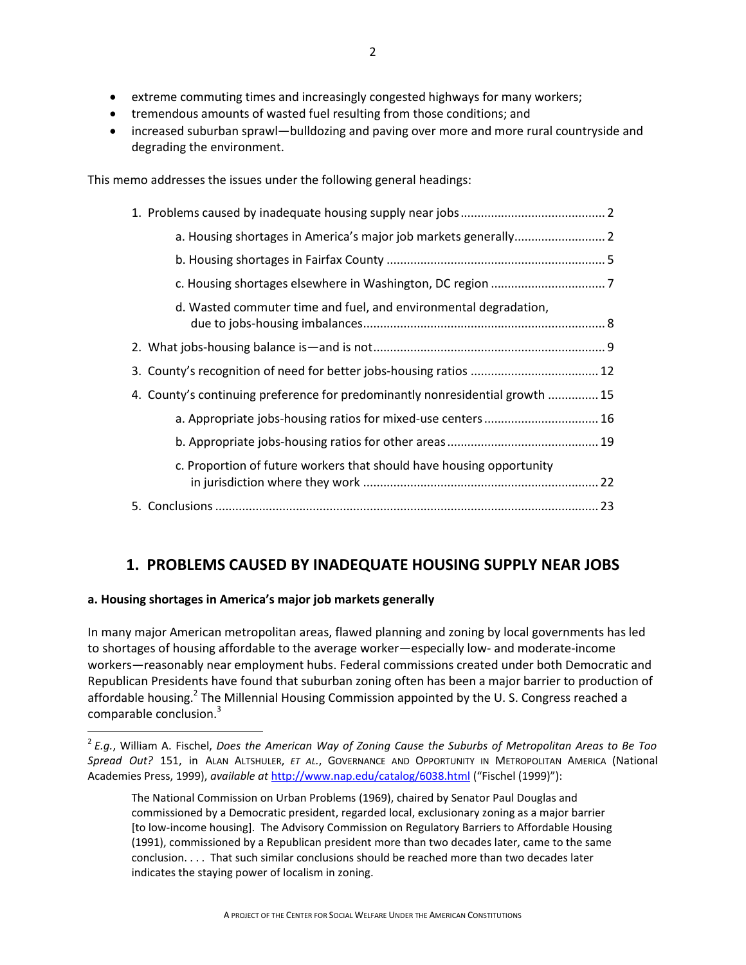- extreme commuting times and increasingly congested highways for many workers;
- tremendous amounts of wasted fuel resulting from those conditions; and
- increased suburban sprawl—bulldozing and paving over more and more rural countryside and degrading the environment.

This memo addresses the issues under the following general headings:

| d. Wasted commuter time and fuel, and environmental degradation,              |  |
|-------------------------------------------------------------------------------|--|
|                                                                               |  |
|                                                                               |  |
| 4. County's continuing preference for predominantly nonresidential growth  15 |  |
| a. Appropriate jobs-housing ratios for mixed-use centers  16                  |  |
|                                                                               |  |
| c. Proportion of future workers that should have housing opportunity          |  |
|                                                                               |  |

## **1. PROBLEMS CAUSED BY INADEQUATE HOUSING SUPPLY NEAR JOBS**

### **a. Housing shortages in America's major job markets generally**

 $\overline{a}$ 

In many major American metropolitan areas, flawed planning and zoning by local governments has led to shortages of housing affordable to the average worker—especially low- and moderate-income workers—reasonably near employment hubs. Federal commissions created under both Democratic and Republican Presidents have found that suburban zoning often has been a major barrier to production of affordable housing.<sup>2</sup> The Millennial Housing Commission appointed by the U. S. Congress reached a comparable conclusion.<sup>3</sup>

<sup>2</sup> *E.g.*, William A. Fischel, *Does the American Way of Zoning Cause the Suburbs of Metropolitan Areas to Be Too Spread Out?* 151, in ALAN ALTSHULER, *ET AL.*, GOVERNANCE AND OPPORTUNITY IN METROPOLITAN AMERICA (National Academies Press, 1999), *available at* <http://www.nap.edu/catalog/6038.html> ("Fischel (1999)"):

The National Commission on Urban Problems (1969), chaired by Senator Paul Douglas and commissioned by a Democratic president, regarded local, exclusionary zoning as a major barrier [to low-income housing]. The Advisory Commission on Regulatory Barriers to Affordable Housing (1991), commissioned by a Republican president more than two decades later, came to the same conclusion. . . . That such similar conclusions should be reached more than two decades later indicates the staying power of localism in zoning.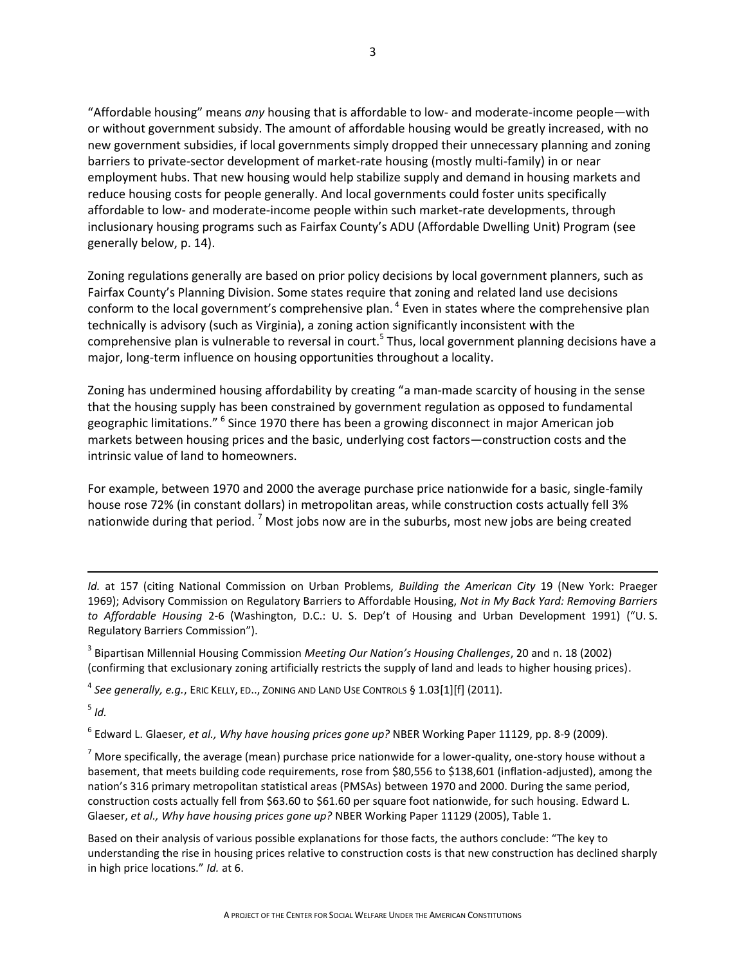"Affordable housing" means *any* housing that is affordable to low- and moderate-income people—with or without government subsidy. The amount of affordable housing would be greatly increased, with no new government subsidies, if local governments simply dropped their unnecessary planning and zoning barriers to private-sector development of market-rate housing (mostly multi-family) in or near employment hubs. That new housing would help stabilize supply and demand in housing markets and reduce housing costs for people generally. And local governments could foster units specifically affordable to low- and moderate-income people within such market-rate developments, through inclusionary housing programs such as Fairfax County's ADU (Affordable Dwelling Unit) Program (see generally below, p. 14).

Zoning regulations generally are based on prior policy decisions by local government planners, such as Fairfax County's Planning Division. Some states require that zoning and related land use decisions conform to the local government's comprehensive plan. <sup>4</sup> Even in states where the comprehensive plan technically is advisory (such as Virginia), a zoning action significantly inconsistent with the comprehensive plan is vulnerable to reversal in court.<sup>5</sup> Thus, local government planning decisions have a major, long-term influence on housing opportunities throughout a locality.

Zoning has undermined housing affordability by creating "a man-made scarcity of housing in the sense that the housing supply has been constrained by government regulation as opposed to fundamental geographic limitations." <sup>6</sup> Since 1970 there has been a growing disconnect in major American job markets between housing prices and the basic, underlying cost factors—construction costs and the intrinsic value of land to homeowners.

For example, between 1970 and 2000 the average purchase price nationwide for a basic, single-family house rose 72% (in constant dollars) in metropolitan areas, while construction costs actually fell 3% nationwide during that period.<sup>7</sup> Most jobs now are in the suburbs, most new jobs are being created

3 Bipartisan Millennial Housing Commission *Meeting Our Nation's Housing Challenges*, 20 and n. 18 (2002) (confirming that exclusionary zoning artificially restricts the supply of land and leads to higher housing prices).

4 *See generally, e.g.*, ERIC KELLY, ED.., ZONING AND LAND USE CONTROLS § 1.03[1][f] (2011).

5 *Id.*

 $\overline{\phantom{a}}$ 

6 Edward L. Glaeser, *et al., Why have housing prices gone up?* NBER Working Paper 11129, pp. 8-9 (2009).

 $<sup>7</sup>$  More specifically, the average (mean) purchase price nationwide for a lower-quality, one-story house without a</sup> basement, that meets building code requirements, rose from \$80,556 to \$138,601 (inflation-adjusted), among the nation's 316 primary metropolitan statistical areas (PMSAs) between 1970 and 2000. During the same period, construction costs actually fell from \$63.60 to \$61.60 per square foot nationwide, for such housing. Edward L. Glaeser, *et al., Why have housing prices gone up?* NBER Working Paper 11129 (2005), Table 1.

Based on their analysis of various possible explanations for those facts, the authors conclude: "The key to understanding the rise in housing prices relative to construction costs is that new construction has declined sharply in high price locations." *Id.* at 6.

*Id.* at 157 (citing National Commission on Urban Problems, *Building the American City* 19 (New York: Praeger 1969); Advisory Commission on Regulatory Barriers to Affordable Housing, *Not in My Back Yard: Removing Barriers to Affordable Housing* 2-6 (Washington, D.C.: U. S. Dep't of Housing and Urban Development 1991) ("U. S. Regulatory Barriers Commission").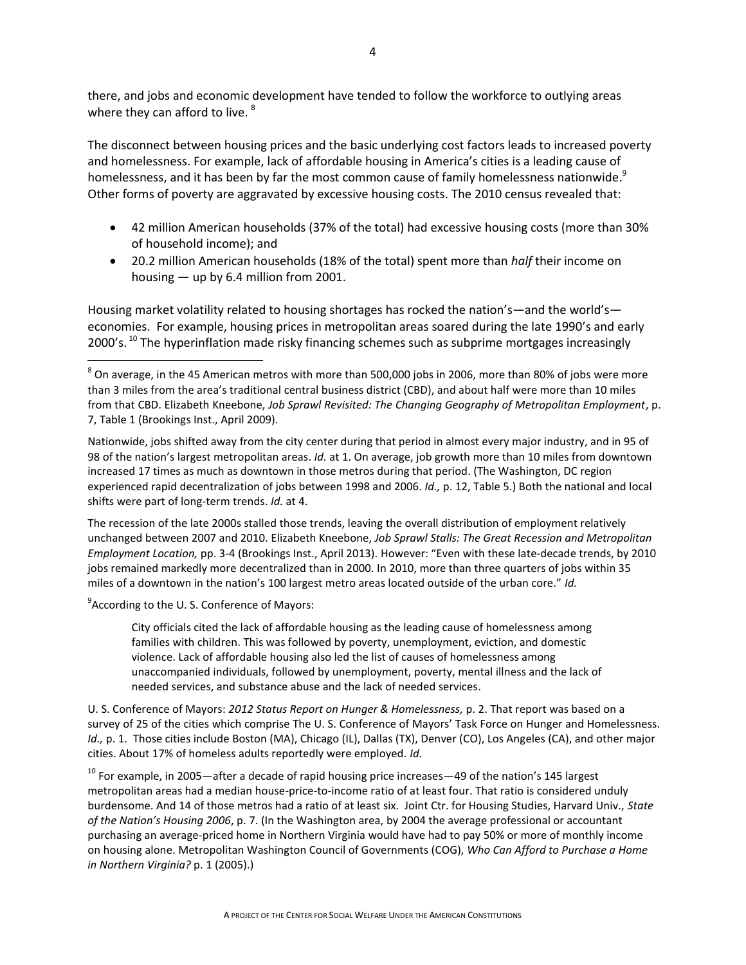there, and jobs and economic development have tended to follow the workforce to outlying areas where they can afford to live. <sup>8</sup>

The disconnect between housing prices and the basic underlying cost factors leads to increased poverty and homelessness. For example, lack of affordable housing in America's cities is a leading cause of homelessness, and it has been by far the most common cause of family homelessness nationwide. $^9$ Other forms of poverty are aggravated by excessive housing costs. The 2010 census revealed that:

- 42 million American households (37% of the total) had excessive housing costs (more than 30% of household income); and
- 20.2 million American households (18% of the total) spent more than *half* their income on housing — up by 6.4 million from 2001.

Housing market volatility related to housing shortages has rocked the nation's—and the world's economies. For example, housing prices in metropolitan areas soared during the late 1990's and early 2000's.<sup>10</sup> The hyperinflation made risky financing schemes such as subprime mortgages increasingly

Nationwide, jobs shifted away from the city center during that period in almost every major industry, and in 95 of 98 of the nation's largest metropolitan areas. *Id.* at 1. On average, job growth more than 10 miles from downtown increased 17 times as much as downtown in those metros during that period. (The Washington, DC region experienced rapid decentralization of jobs between 1998 and 2006. *Id.,* p. 12, Table 5.) Both the national and local shifts were part of long-term trends. *Id.* at 4.

The recession of the late 2000s stalled those trends, leaving the overall distribution of employment relatively unchanged between 2007 and 2010. Elizabeth Kneebone, *Job Sprawl Stalls: The Great Recession and Metropolitan Employment Location,* pp. 3-4 (Brookings Inst., April 2013). However: "Even with these late-decade trends, by 2010 jobs remained markedly more decentralized than in 2000. In 2010, more than three quarters of jobs within 35 miles of a downtown in the nation's 100 largest metro areas located outside of the urban core." *Id.* 

<sup>9</sup> According to the U.S. Conference of Mayors:

 $\overline{a}$ 

City officials cited the lack of affordable housing as the leading cause of homelessness among families with children. This was followed by poverty, unemployment, eviction, and domestic violence. Lack of affordable housing also led the list of causes of homelessness among unaccompanied individuals, followed by unemployment, poverty, mental illness and the lack of needed services, and substance abuse and the lack of needed services.

U. S. Conference of Mayors: *2012 Status Report on Hunger & Homelessness,* p. 2. That report was based on a survey of 25 of the cities which comprise The U. S. Conference of Mayors' Task Force on Hunger and Homelessness. *Id., p. 1.* Those cities include Boston (MA), Chicago (IL), Dallas (TX), Denver (CO), Los Angeles (CA), and other major cities. About 17% of homeless adults reportedly were employed. *Id.*

 $10$  For example, in 2005—after a decade of rapid housing price increases—49 of the nation's 145 largest metropolitan areas had a median house-price-to-income ratio of at least four. That ratio is considered unduly burdensome. And 14 of those metros had a ratio of at least six. Joint Ctr. for Housing Studies, Harvard Univ., *State of the Nation's Housing 2006*, p. 7. (In the Washington area, by 2004 the average professional or accountant purchasing an average-priced home in Northern Virginia would have had to pay 50% or more of monthly income on housing alone. Metropolitan Washington Council of Governments (COG), *Who Can Afford to Purchase a Home in Northern Virginia?* p. 1 (2005).)

 $^8$  On average, in the 45 American metros with more than 500,000 jobs in 2006, more than 80% of jobs were more than 3 miles from the area's traditional central business district (CBD), and about half were more than 10 miles from that CBD. Elizabeth Kneebone, *Job Sprawl Revisited: The Changing Geography of Metropolitan Employment*, p. 7, Table 1 (Brookings Inst., April 2009).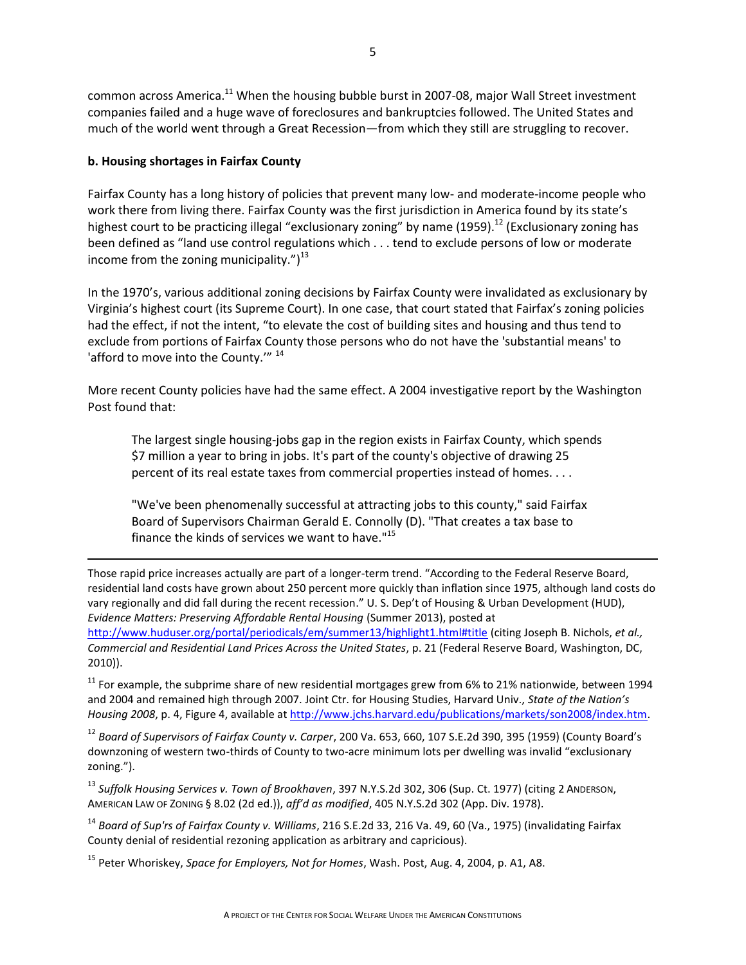common across America.<sup>11</sup> When the housing bubble burst in 2007-08, major Wall Street investment companies failed and a huge wave of foreclosures and bankruptcies followed. The United States and much of the world went through a Great Recession—from which they still are struggling to recover.

### **b. Housing shortages in Fairfax County**

l

Fairfax County has a long history of policies that prevent many low- and moderate-income people who work there from living there. Fairfax County was the first jurisdiction in America found by its state's highest court to be practicing illegal "exclusionary zoning" by name (1959).<sup>12</sup> (Exclusionary zoning has been defined as "land use control regulations which . . . tend to exclude persons of low or moderate income from the zoning municipality." $)^{13}$ 

In the 1970's, various additional zoning decisions by Fairfax County were invalidated as exclusionary by Virginia's highest court (its Supreme Court). In one case, that court stated that Fairfax's zoning policies had the effect, if not the intent, "to elevate the cost of building sites and housing and thus tend to exclude from portions of Fairfax County those persons who do not have the 'substantial means' to 'afford to move into the County.'" <sup>14</sup>

More recent County policies have had the same effect. A 2004 investigative report by the Washington Post found that:

The largest single housing-jobs gap in the region exists in Fairfax County, which spends \$7 million a year to bring in jobs. It's part of the county's objective of drawing 25 percent of its real estate taxes from commercial properties instead of homes. . . .

"We've been phenomenally successful at attracting jobs to this county," said Fairfax Board of Supervisors Chairman Gerald E. Connolly (D). "That creates a tax base to finance the kinds of services we want to have."<sup>15</sup>

Those rapid price increases actually are part of a longer-term trend. "According to the Federal Reserve Board, residential land costs have grown about 250 percent more quickly than inflation since 1975, although land costs do vary regionally and did fall during the recent recession." U. S. Dep't of Housing & Urban Development (HUD), *Evidence Matters: Preserving Affordable Rental Housing* (Summer 2013), posted at <http://www.huduser.org/portal/periodicals/em/summer13/highlight1.html#title> (citing Joseph B. Nichols, *et al., Commercial and Residential Land Prices Across the United States*, p. 21 (Federal Reserve Board, Washington, DC, 2010)).

 $11$  For example, the subprime share of new residential mortgages grew from 6% to 21% nationwide, between 1994 and 2004 and remained high through 2007. Joint Ctr. for Housing Studies, Harvard Univ., *State of the Nation's Housing 2008*, p. 4, Figure 4, available at [http://www.jchs.harvard.edu/publications/markets/son2008/index.htm.](http://www.jchs.harvard.edu/publications/markets/son2008/index.htm)

<sup>12</sup> *Board of Supervisors of Fairfax County v. Carper*, 200 Va. 653, 660, 107 S.E.2d 390, 395 (1959) (County Board's downzoning of western two-thirds of County to two-acre minimum lots per dwelling was invalid "exclusionary zoning.").

<sup>13</sup> *Suffolk Housing Services v. Town of Brookhaven*, 397 N.Y.S.2d 302, 306 (Sup. Ct. 1977) (citing 2 ANDERSON, AMERICAN LAW OF ZONING § 8.02 (2d ed.)), *aff'd as modified*, 405 N.Y.S.2d 302 (App. Div. 1978).

<sup>14</sup> *Board of Sup'rs of Fairfax County v. Williams*, 216 S.E.2d 33, 216 Va. 49, 60 (Va., 1975) (invalidating Fairfax County denial of residential rezoning application as arbitrary and capricious).

<sup>15</sup> Peter Whoriskey, *Space for Employers, Not for Homes*, Wash. Post, Aug. 4, 2004, p. A1, A8.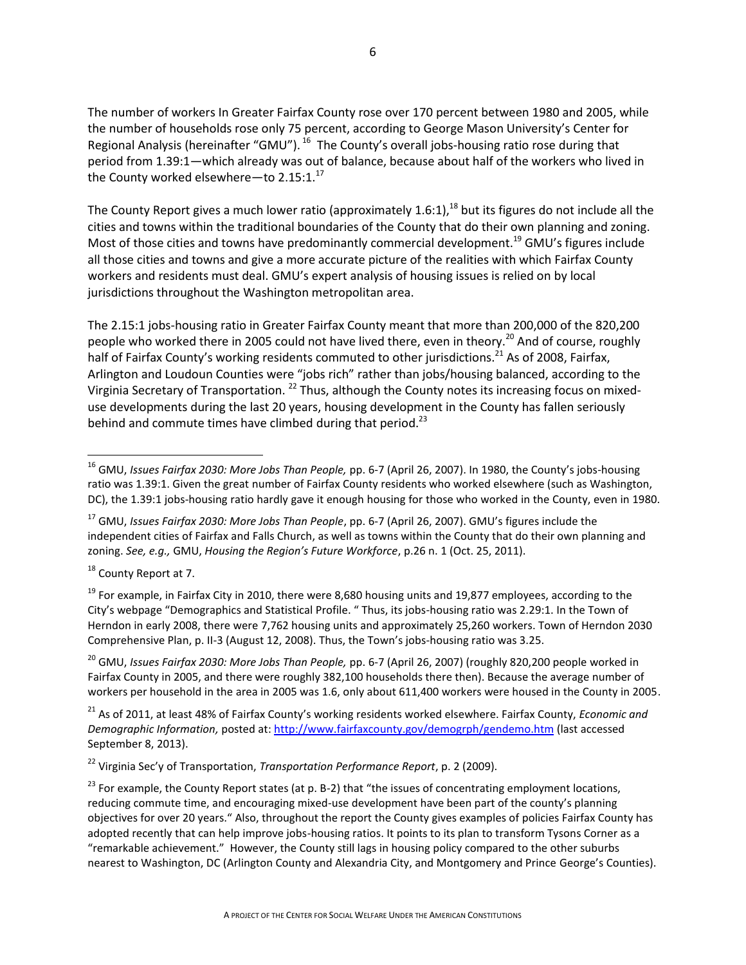The number of workers In Greater Fairfax County rose over 170 percent between 1980 and 2005, while the number of households rose only 75 percent, according to George Mason University's Center for Regional Analysis (hereinafter "GMU"). <sup>16</sup> The County's overall jobs-housing ratio rose during that period from 1.39:1—which already was out of balance, because about half of the workers who lived in the County worked elsewhere—to  $2.15:1.^{17}$ 

The County Report gives a much lower ratio (approximately 1.6:1),  $^{18}$  but its figures do not include all the cities and towns within the traditional boundaries of the County that do their own planning and zoning. Most of those cities and towns have predominantly commercial development.<sup>19</sup> GMU's figures include all those cities and towns and give a more accurate picture of the realities with which Fairfax County workers and residents must deal. GMU's expert analysis of housing issues is relied on by local jurisdictions throughout the Washington metropolitan area.

The 2.15:1 jobs-housing ratio in Greater Fairfax County meant that more than 200,000 of the 820,200 people who worked there in 2005 could not have lived there, even in theory.<sup>20</sup> And of course, roughly half of Fairfax County's working residents commuted to other jurisdictions.<sup>21</sup> As of 2008, Fairfax, Arlington and Loudoun Counties were "jobs rich" rather than jobs/housing balanced, according to the Virginia Secretary of Transportation. <sup>22</sup> Thus, although the County notes its increasing focus on mixeduse developments during the last 20 years, housing development in the County has fallen seriously behind and commute times have climbed during that period.<sup>23</sup>

<sup>18</sup> County Report at 7.

 $\overline{a}$ 

<sup>19</sup> For example, in Fairfax City in 2010, there were 8,680 housing units and 19,877 employees, according to the City's webpage "Demographics and Statistical Profile. " Thus, its jobs-housing ratio was 2.29:1. In the Town of Herndon in early 2008, there were 7,762 housing units and approximately 25,260 workers. Town of Herndon 2030 Comprehensive Plan, p. II-3 (August 12, 2008). Thus, the Town's jobs-housing ratio was 3.25.

<sup>20</sup> GMU, *Issues Fairfax 2030: More Jobs Than People,* pp. 6-7 (April 26, 2007) (roughly 820,200 people worked in Fairfax County in 2005, and there were roughly 382,100 households there then). Because the average number of workers per household in the area in 2005 was 1.6, only about 611,400 workers were housed in the County in 2005.

<sup>21</sup> As of 2011, at least 48% of Fairfax County's working residents worked elsewhere. Fairfax County, *Economic and Demographic Information,* posted at:<http://www.fairfaxcounty.gov/demogrph/gendemo.htm> (last accessed September 8, 2013).

<sup>22</sup> Virginia Sec'y of Transportation, *Transportation Performance Report*, p. 2 (2009).

<sup>16</sup> GMU, *Issues Fairfax 2030: More Jobs Than People,* pp. 6-7 (April 26, 2007). In 1980, the County's jobs-housing ratio was 1.39:1. Given the great number of Fairfax County residents who worked elsewhere (such as Washington, DC), the 1.39:1 jobs-housing ratio hardly gave it enough housing for those who worked in the County, even in 1980.

<sup>17</sup> GMU, *Issues Fairfax 2030: More Jobs Than People*, pp. 6-7 (April 26, 2007). GMU's figures include the independent cities of Fairfax and Falls Church, as well as towns within the County that do their own planning and zoning. *See, e.g.,* GMU, *Housing the Region's Future Workforce*, p.26 n. 1 (Oct. 25, 2011).

 $^{23}$  For example, the County Report states (at p. B-2) that "the issues of concentrating employment locations, reducing commute time, and encouraging mixed-use development have been part of the county's planning objectives for over 20 years." Also, throughout the report the County gives examples of policies Fairfax County has adopted recently that can help improve jobs-housing ratios. It points to its plan to transform Tysons Corner as a "remarkable achievement." However, the County still lags in housing policy compared to the other suburbs nearest to Washington, DC (Arlington County and Alexandria City, and Montgomery and Prince George's Counties).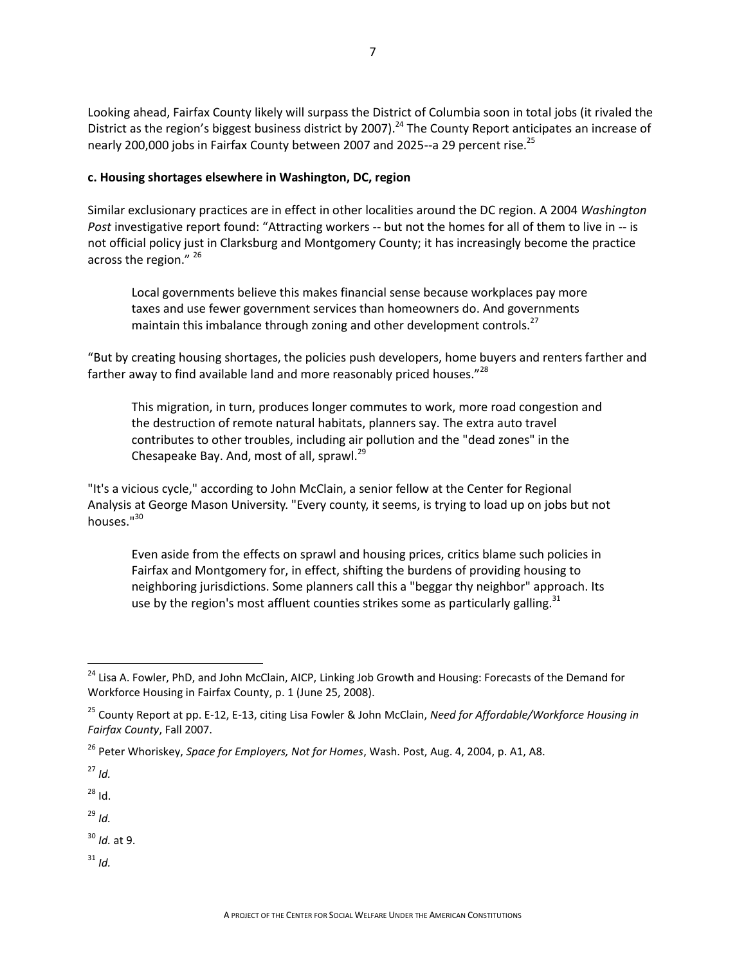Looking ahead, Fairfax County likely will surpass the District of Columbia soon in total jobs (it rivaled the District as the region's biggest business district by 2007).<sup>24</sup> The County Report anticipates an increase of nearly 200,000 jobs in Fairfax County between 2007 and 2025--a 29 percent rise.<sup>25</sup>

#### **c. Housing shortages elsewhere in Washington, DC, region**

Similar exclusionary practices are in effect in other localities around the DC region. A 2004 *Washington Post* investigative report found: "Attracting workers -- but not the homes for all of them to live in -- is not official policy just in Clarksburg and Montgomery County; it has increasingly become the practice across the region." 26

Local governments believe this makes financial sense because workplaces pay more taxes and use fewer government services than homeowners do. And governments maintain this imbalance through zoning and other development controls.<sup>27</sup>

"But by creating housing shortages, the policies push developers, home buyers and renters farther and farther away to find available land and more reasonably priced houses."<sup>28</sup>

This migration, in turn, produces longer commutes to work, more road congestion and the destruction of remote natural habitats, planners say. The extra auto travel contributes to other troubles, including air pollution and the "dead zones" in the Chesapeake Bay. And, most of all, sprawl.<sup>29</sup>

"It's a vicious cycle," according to John McClain, a senior fellow at the Center for Regional Analysis at George Mason University. "Every county, it seems, is trying to load up on jobs but not houses."<sup>30</sup>

Even aside from the effects on sprawl and housing prices, critics blame such policies in Fairfax and Montgomery for, in effect, shifting the burdens of providing housing to neighboring jurisdictions. Some planners call this a "beggar thy neighbor" approach. Its use by the region's most affluent counties strikes some as particularly galling.<sup>31</sup>

<sup>27</sup> *Id.*

 $\overline{\phantom{a}}$ 

 $28$  Id.

<sup>29</sup> *Id.*

<sup>30</sup> *Id.* at 9.

 $31$  *Id.* 

<sup>&</sup>lt;sup>24</sup> Lisa A. Fowler, PhD, and John McClain, AICP, Linking Job Growth and Housing: Forecasts of the Demand for Workforce Housing in Fairfax County, p. 1 (June 25, 2008).

<sup>25</sup> County Report at pp. E-12, E-13, citing Lisa Fowler & John McClain, *Need for Affordable/Workforce Housing in Fairfax County*, Fall 2007.

<sup>26</sup> Peter Whoriskey, *Space for Employers, Not for Homes*, Wash. Post, Aug. 4, 2004, p. A1, A8.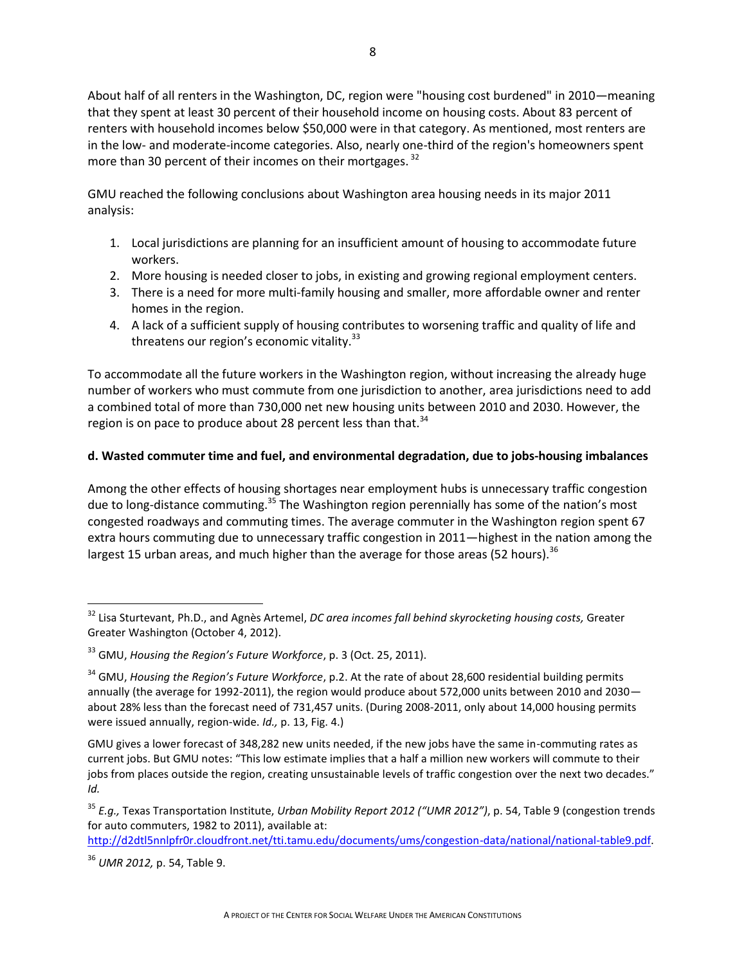About half of all renters in the Washington, DC, region were "housing cost burdened" in 2010—meaning that they spent at least 30 percent of their household income on housing costs. About 83 percent of renters with household incomes below \$50,000 were in that category. As mentioned, most renters are in the low- and moderate-income categories. Also, nearly one-third of the region's homeowners spent more than 30 percent of their incomes on their mortgages.<sup>32</sup>

GMU reached the following conclusions about Washington area housing needs in its major 2011 analysis:

- 1. Local jurisdictions are planning for an insufficient amount of housing to accommodate future workers.
- 2. More housing is needed closer to jobs, in existing and growing regional employment centers.
- 3. There is a need for more multi-family housing and smaller, more affordable owner and renter homes in the region.
- 4. A lack of a sufficient supply of housing contributes to worsening traffic and quality of life and threatens our region's economic vitality. $^{33}$

To accommodate all the future workers in the Washington region, without increasing the already huge number of workers who must commute from one jurisdiction to another, area jurisdictions need to add a combined total of more than 730,000 net new housing units between 2010 and 2030. However, the region is on pace to produce about 28 percent less than that. $34$ 

### **d. Wasted commuter time and fuel, and environmental degradation, due to jobs-housing imbalances**

Among the other effects of housing shortages near employment hubs is unnecessary traffic congestion due to long-distance commuting.<sup>35</sup> The Washington region perennially has some of the nation's most congested roadways and commuting times. The average commuter in the Washington region spent 67 extra hours commuting due to unnecessary traffic congestion in 2011—highest in the nation among the largest 15 urban areas, and much higher than the average for those areas (52 hours).  $^{36}$ 

 $\overline{\phantom{a}}$ 

<sup>32</sup> Lisa Sturtevant, Ph.D., and Agnès Artemel, *DC area incomes fall behind skyrocketing housing costs,* Greater Greater Washington (October 4, 2012).

<sup>33</sup> GMU, *Housing the Region's Future Workforce*, p. 3 (Oct. 25, 2011).

<sup>34</sup> GMU, *Housing the Region's Future Workforce*, p.2. At the rate of about 28,600 residential building permits annually (the average for 1992-2011), the region would produce about 572,000 units between 2010 and 2030 about 28% less than the forecast need of 731,457 units. (During 2008-2011, only about 14,000 housing permits were issued annually, region-wide. *Id.,* p. 13, Fig. 4.)

GMU gives a lower forecast of 348,282 new units needed, if the new jobs have the same in-commuting rates as current jobs. But GMU notes: "This low estimate implies that a half a million new workers will commute to their jobs from places outside the region, creating unsustainable levels of traffic congestion over the next two decades." *Id.* 

<sup>35</sup> *E.g.,* Texas Transportation Institute, *Urban Mobility Report 2012 ("UMR 2012")*, p. 54, Table 9 (congestion trends for auto commuters, 1982 to 2011), available at:

[http://d2dtl5nnlpfr0r.cloudfront.net/tti.tamu.edu/documents/ums/congestion-data/national/national-table9.pdf.](http://d2dtl5nnlpfr0r.cloudfront.net/tti.tamu.edu/documents/ums/congestion-data/national/national-table9.pdf)

<sup>36</sup> *UMR 2012,* p. 54, Table 9.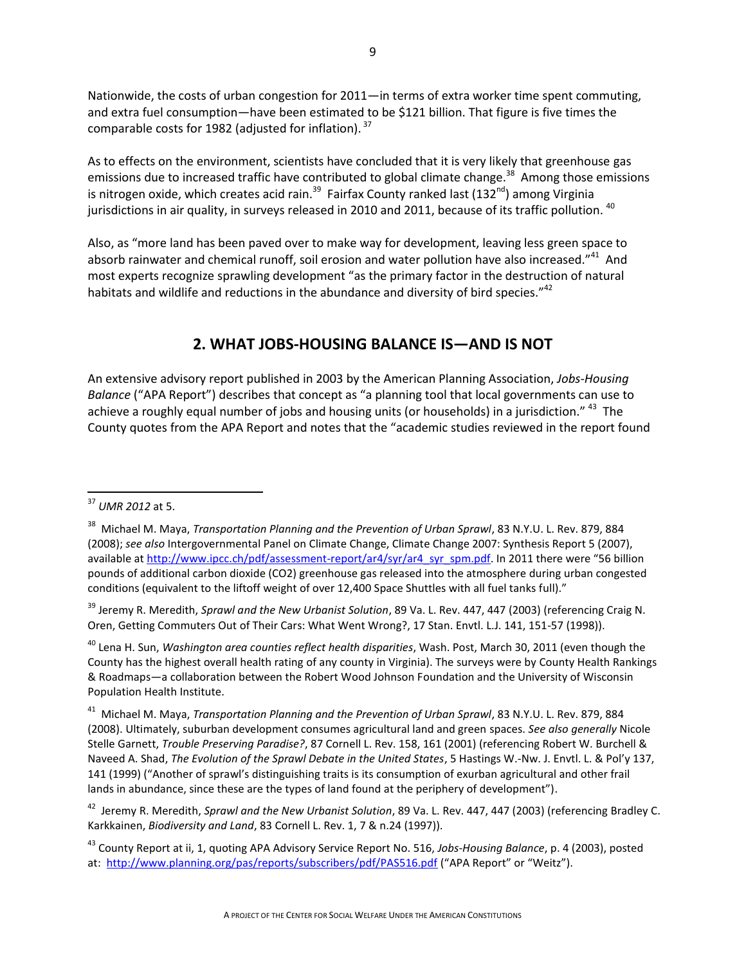Nationwide, the costs of urban congestion for 2011—in terms of extra worker time spent commuting, and extra fuel consumption—have been estimated to be \$121 billion. That figure is five times the comparable costs for 1982 (adjusted for inflation). <sup>37</sup>

As to effects on the environment, scientists have concluded that it is very likely that greenhouse gas emissions due to increased traffic have contributed to global climate change.<sup>38</sup> Among those emissions is nitrogen oxide, which creates acid rain.<sup>39</sup> Fairfax County ranked last (132<sup>nd</sup>) among Virginia jurisdictions in air quality, in surveys released in 2010 and 2011, because of its traffic pollution. <sup>40</sup>

Also, as "more land has been paved over to make way for development, leaving less green space to absorb rainwater and chemical runoff, soil erosion and water pollution have also increased."<sup>41</sup> And most experts recognize sprawling development "as the primary factor in the destruction of natural habitats and wildlife and reductions in the abundance and diversity of bird species." $42$ 

## **2. WHAT JOBS-HOUSING BALANCE IS—AND IS NOT**

An extensive advisory report published in 2003 by the American Planning Association, *Jobs-Housing Balance* ("APA Report") describes that concept as "a planning tool that local governments can use to achieve a roughly equal number of jobs and housing units (or households) in a jurisdiction." <sup>43</sup> The County quotes from the APA Report and notes that the "academic studies reviewed in the report found

 $\overline{a}$ 

<sup>39</sup> Jeremy R. Meredith, *Sprawl and the New Urbanist Solution*, 89 Va. L. Rev. 447, 447 (2003) (referencing Craig N. Oren, Getting Commuters Out of Their Cars: What Went Wrong?, 17 Stan. Envtl. L.J. 141, 151-57 (1998)).

<sup>40</sup> Lena H. Sun, *Washington area counties reflect health disparities*, Wash. Post, March 30, 2011 (even though the County has the highest overall health rating of any county in Virginia). The surveys were by County Health Rankings & Roadmaps—a collaboration between the Robert Wood Johnson Foundation and the University of Wisconsin Population Health Institute.

41 Michael M. Maya, *Transportation Planning and the Prevention of Urban Sprawl*, 83 N.Y.U. L. Rev. 879, 884 (2008). Ultimately, suburban development consumes agricultural land and green spaces. *See also generally* Nicole Stelle Garnett, *Trouble Preserving Paradise?*, 87 Cornell L. Rev. 158, 161 (2001) (referencing Robert W. Burchell & Naveed A. Shad, *The Evolution of the Sprawl Debate in the United States*, 5 Hastings W.-Nw. J. Envtl. L. & Pol'y 137, 141 (1999) ("Another of sprawl's distinguishing traits is its consumption of exurban agricultural and other frail lands in abundance, since these are the types of land found at the periphery of development").

42 Jeremy R. Meredith, *Sprawl and the New Urbanist Solution*, 89 Va. L. Rev. 447, 447 (2003) (referencing Bradley C. Karkkainen, *Biodiversity and Land*, 83 Cornell L. Rev. 1, 7 & n.24 (1997)).

<sup>43</sup> County Report at ii, 1, quoting APA Advisory Service Report No. 516, *Jobs-Housing Balance*, p. 4 (2003), posted at:<http://www.planning.org/pas/reports/subscribers/pdf/PAS516.pdf> ("APA Report" or "Weitz").

<sup>37</sup> *UMR 2012* at 5.

<sup>38</sup> Michael M. Maya, *Transportation Planning and the Prevention of Urban Sprawl*, 83 N.Y.U. L. Rev. 879, 884 (2008); *see also* Intergovernmental Panel on Climate Change, Climate Change 2007: Synthesis Report 5 (2007), available a[t http://www.ipcc.ch/pdf/assessment-report/ar4/syr/ar4\\_syr\\_spm.pdf.](http://www.ipcc.ch/pdf/assessment-report/ar4/syr/ar4_syr_spm.pdf) In 2011 there were "56 billion pounds of additional carbon dioxide (CO2) greenhouse gas released into the atmosphere during urban congested conditions (equivalent to the liftoff weight of over 12,400 Space Shuttles with all fuel tanks full)."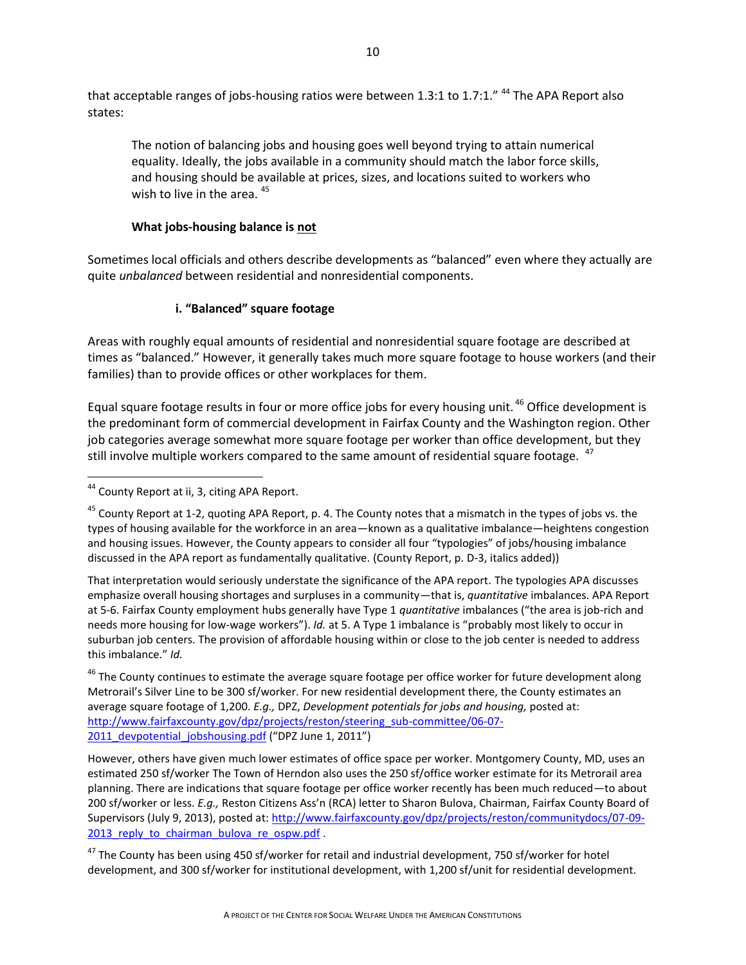that acceptable ranges of jobs-housing ratios were between 1.3:1 to 1.7:1."  $44$  The APA Report also states:

The notion of balancing jobs and housing goes well beyond trying to attain numerical equality. Ideally, the jobs available in a community should match the labor force skills, and housing should be available at prices, sizes, and locations suited to workers who wish to live in the area.  $45$ 

### **What jobs-housing balance is not**

Sometimes local officials and others describe developments as "balanced" even where they actually are quite *unbalanced* between residential and nonresidential components.

### **i. "Balanced" square footage**

Areas with roughly equal amounts of residential and nonresidential square footage are described at times as "balanced." However, it generally takes much more square footage to house workers (and their families) than to provide offices or other workplaces for them.

Equal square footage results in four or more office jobs for every housing unit.<sup>46</sup> Office development is the predominant form of commercial development in Fairfax County and the Washington region. Other job categories average somewhat more square footage per worker than office development, but they still involve multiple workers compared to the same amount of residential square footage. <sup>47</sup>

 $45$  County Report at 1-2, quoting APA Report, p. 4. The County notes that a mismatch in the types of jobs vs. the types of housing available for the workforce in an area—known as a qualitative imbalance—heightens congestion and housing issues. However, the County appears to consider all four "typologies" of jobs/housing imbalance discussed in the APA report as fundamentally qualitative. (County Report, p. D-3, italics added))

That interpretation would seriously understate the significance of the APA report. The typologies APA discusses emphasize overall housing shortages and surpluses in a community—that is, *quantitative* imbalances. APA Report at 5-6. Fairfax County employment hubs generally have Type 1 *quantitative* imbalances ("the area is job-rich and needs more housing for low-wage workers"). *Id.* at 5. A Type 1 imbalance is "probably most likely to occur in suburban job centers. The provision of affordable housing within or close to the job center is needed to address this imbalance." *Id.*

<sup>46</sup> The County continues to estimate the average square footage per office worker for future development along Metrorail's Silver Line to be 300 sf/worker. For new residential development there, the County estimates an average square footage of 1,200. *E.g.,* DPZ, *Development potentials for jobs and housing,* posted at: [http://www.fairfaxcounty.gov/dpz/projects/reston/steering\\_sub-committee/06-07-](http://www.fairfaxcounty.gov/dpz/projects/reston/steering_sub-committee/06-07-2011_devpotential_jobshousing.pdf) 2011 devpotential jobshousing.pdf ("DPZ June 1, 2011")

However, others have given much lower estimates of office space per worker. Montgomery County, MD, uses an estimated 250 sf/worker The Town of Herndon also uses the 250 sf/office worker estimate for its Metrorail area planning. There are indications that square footage per office worker recently has been much reduced—to about 200 sf/worker or less. *E.g.,* Reston Citizens Ass'n (RCA) letter to Sharon Bulova, Chairman, Fairfax County Board of Supervisors (July 9, 2013), posted at: [http://www.fairfaxcounty.gov/dpz/projects/reston/communitydocs/07-09-](http://www.fairfaxcounty.gov/dpz/projects/reston/communitydocs/07-09-2013_reply_to_chairman_bulova_re_ospw.pdf) 2013 reply to chairman bulova re ospw.pdf.

<sup>47</sup> The County has been using 450 sf/worker for retail and industrial development, 750 sf/worker for hotel development, and 300 sf/worker for institutional development, with 1,200 sf/unit for residential development.

 $\overline{a}$ <sup>44</sup> County Report at ii, 3, citing APA Report.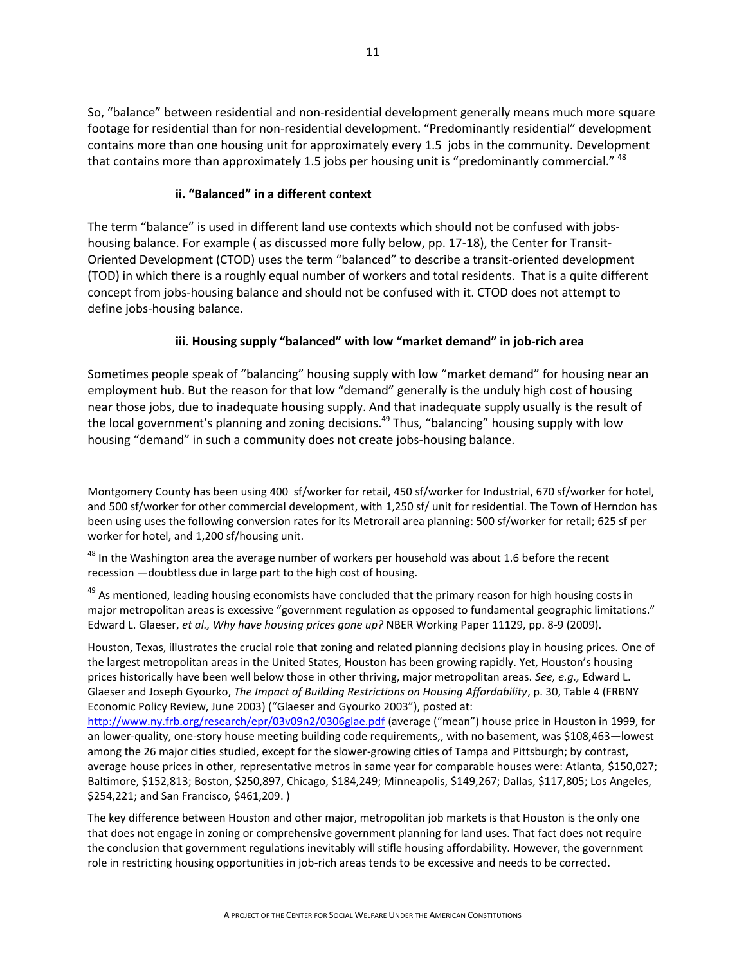So, "balance" between residential and non-residential development generally means much more square footage for residential than for non-residential development. "Predominantly residential" development contains more than one housing unit for approximately every 1.5 jobs in the community. Development that contains more than approximately 1.5 jobs per housing unit is "predominantly commercial."  $^{48}$ 

#### **ii. "Balanced" in a different context**

 $\overline{a}$ 

The term "balance" is used in different land use contexts which should not be confused with jobshousing balance. For example ( as discussed more fully below, pp. 17-18), the Center for Transit-Oriented Development (CTOD) uses the term "balanced" to describe a transit-oriented development (TOD) in which there is a roughly equal number of workers and total residents. That is a quite different concept from jobs-housing balance and should not be confused with it. CTOD does not attempt to define jobs-housing balance.

### **iii. Housing supply "balanced" with low "market demand" in job-rich area**

Sometimes people speak of "balancing" housing supply with low "market demand" for housing near an employment hub. But the reason for that low "demand" generally is the unduly high cost of housing near those jobs, due to inadequate housing supply. And that inadequate supply usually is the result of the local government's planning and zoning decisions.<sup>49</sup> Thus, "balancing" housing supply with low housing "demand" in such a community does not create jobs-housing balance.

Montgomery County has been using 400 sf/worker for retail, 450 sf/worker for Industrial, 670 sf/worker for hotel, and 500 sf/worker for other commercial development, with 1,250 sf/ unit for residential. The Town of Herndon has been using uses the following conversion rates for its Metrorail area planning: 500 sf/worker for retail; 625 sf per worker for hotel, and 1,200 sf/housing unit.

<sup>48</sup> In the Washington area the average number of workers per household was about 1.6 before the recent recession —doubtless due in large part to the high cost of housing.

<sup>49</sup> As mentioned, leading housing economists have concluded that the primary reason for high housing costs in major metropolitan areas is excessive "government regulation as opposed to fundamental geographic limitations." Edward L. Glaeser, *et al., Why have housing prices gone up?* NBER Working Paper 11129, pp. 8-9 (2009).

Houston, Texas, illustrates the crucial role that zoning and related planning decisions play in housing prices. One of the largest metropolitan areas in the United States, Houston has been growing rapidly. Yet, Houston's housing prices historically have been well below those in other thriving, major metropolitan areas. *See, e.g.,* Edward L. Glaeser and Joseph Gyourko, *The Impact of Building Restrictions on Housing Affordability*, p. 30, Table 4 (FRBNY Economic Policy Review, June 2003) ("Glaeser and Gyourko 2003"), posted at:

<http://www.ny.frb.org/research/epr/03v09n2/0306glae.pdf> (average ("mean") house price in Houston in 1999, for an lower-quality, one-story house meeting building code requirements,, with no basement, was \$108,463—lowest among the 26 major cities studied, except for the slower-growing cities of Tampa and Pittsburgh; by contrast, average house prices in other, representative metros in same year for comparable houses were: Atlanta, \$150,027; Baltimore, \$152,813; Boston, \$250,897, Chicago, \$184,249; Minneapolis, \$149,267; Dallas, \$117,805; Los Angeles, \$254,221; and San Francisco, \$461,209. )

The key difference between Houston and other major, metropolitan job markets is that Houston is the only one that does not engage in zoning or comprehensive government planning for land uses. That fact does not require the conclusion that government regulations inevitably will stifle housing affordability. However, the government role in restricting housing opportunities in job-rich areas tends to be excessive and needs to be corrected.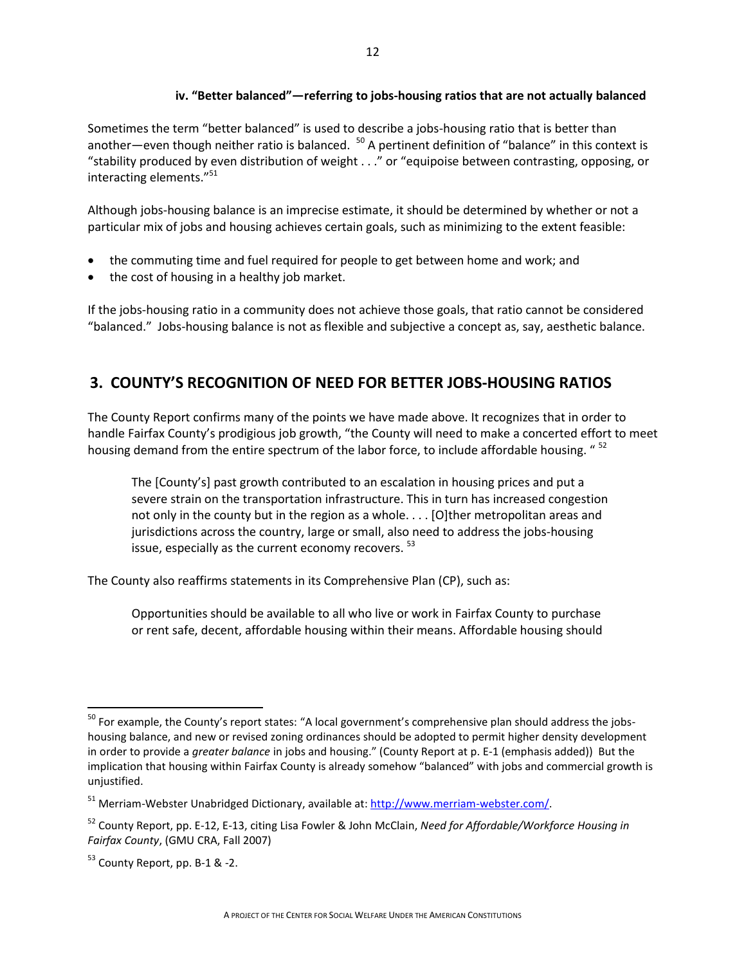#### **iv. "Better balanced"—referring to jobs-housing ratios that are not actually balanced**

Sometimes the term "better balanced" is used to describe a jobs-housing ratio that is better than another—even though neither ratio is balanced. <sup>50</sup> A pertinent definition of "balance" in this context is "stability produced by even distribution of weight . . ." or "equipoise between contrasting, opposing, or interacting elements."<sup>51</sup>

Although jobs-housing balance is an imprecise estimate, it should be determined by whether or not a particular mix of jobs and housing achieves certain goals, such as minimizing to the extent feasible:

- the commuting time and fuel required for people to get between home and work; and
- the cost of housing in a healthy job market.

If the jobs-housing ratio in a community does not achieve those goals, that ratio cannot be considered "balanced." Jobs-housing balance is not as flexible and subjective a concept as, say, aesthetic balance.

# **3. COUNTY'S RECOGNITION OF NEED FOR BETTER JOBS-HOUSING RATIOS**

The County Report confirms many of the points we have made above. It recognizes that in order to handle Fairfax County's prodigious job growth, "the County will need to make a concerted effort to meet housing demand from the entire spectrum of the labor force, to include affordable housing. "<sup>52</sup>

The [County's] past growth contributed to an escalation in housing prices and put a severe strain on the transportation infrastructure. This in turn has increased congestion not only in the county but in the region as a whole. . . . [O]ther metropolitan areas and jurisdictions across the country, large or small, also need to address the jobs-housing issue, especially as the current economy recovers. <sup>53</sup>

The County also reaffirms statements in its Comprehensive Plan (CP), such as:

Opportunities should be available to all who live or work in Fairfax County to purchase or rent safe, decent, affordable housing within their means. Affordable housing should

l

 $^{50}$  For example, the County's report states: "A local government's comprehensive plan should address the jobshousing balance, and new or revised zoning ordinances should be adopted to permit higher density development in order to provide a *greater balance* in jobs and housing." (County Report at p. E-1 (emphasis added)) But the implication that housing within Fairfax County is already somehow "balanced" with jobs and commercial growth is unjustified.

<sup>51</sup> Merriam-Webster Unabridged Dictionary, available at: [http://www.merriam-webster.com/.](http://www.merriam-webster.com/)

<sup>52</sup> County Report, pp. E-12, E-13, citing Lisa Fowler & John McClain, *Need for Affordable/Workforce Housing in Fairfax County*, (GMU CRA, Fall 2007)

 $53$  County Report, pp. B-1 & -2.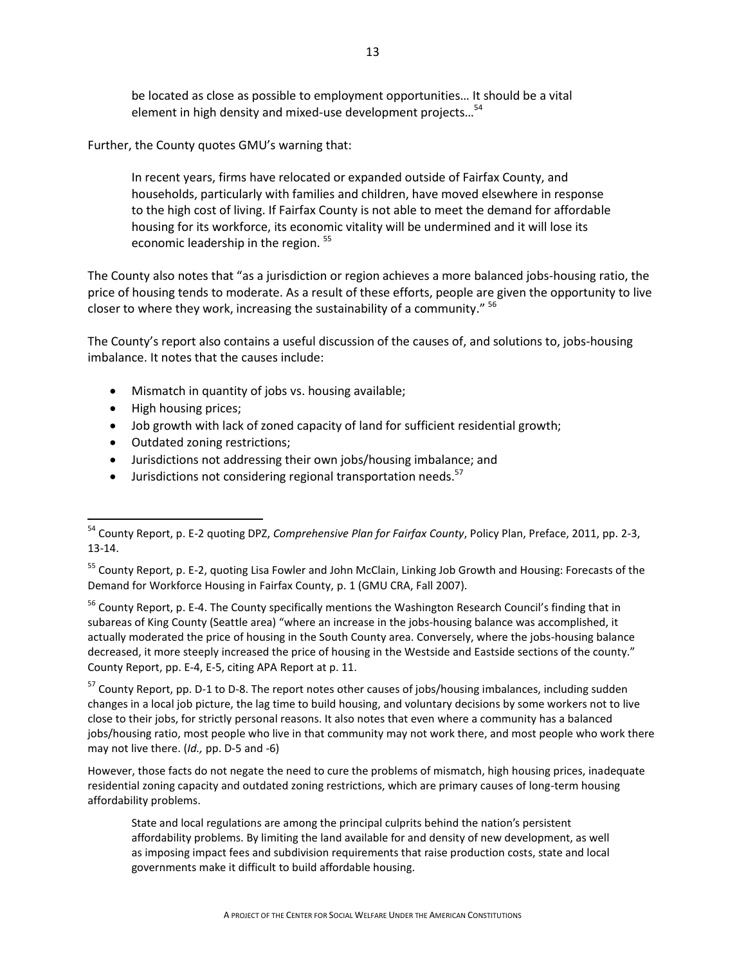be located as close as possible to employment opportunities… It should be a vital element in high density and mixed-use development projects...<sup>54</sup>

Further, the County quotes GMU's warning that:

In recent years, firms have relocated or expanded outside of Fairfax County, and households, particularly with families and children, have moved elsewhere in response to the high cost of living. If Fairfax County is not able to meet the demand for affordable housing for its workforce, its economic vitality will be undermined and it will lose its economic leadership in the region.<sup>55</sup>

The County also notes that "as a jurisdiction or region achieves a more balanced jobs-housing ratio, the price of housing tends to moderate. As a result of these efforts, people are given the opportunity to live closer to where they work, increasing the sustainability of a community." <sup>56</sup>

The County's report also contains a useful discussion of the causes of, and solutions to, jobs-housing imbalance. It notes that the causes include:

- Mismatch in quantity of jobs vs. housing available;
- High housing prices;

 $\overline{\phantom{a}}$ 

- Job growth with lack of zoned capacity of land for sufficient residential growth;
- Outdated zoning restrictions;
- Jurisdictions not addressing their own jobs/housing imbalance; and
- $\bullet$  Jurisdictions not considering regional transportation needs.<sup>57</sup>

<sup>56</sup> County Report, p. E-4. The County specifically mentions the Washington Research Council's finding that in subareas of King County (Seattle area) "where an increase in the jobs-housing balance was accomplished, it actually moderated the price of housing in the South County area. Conversely, where the jobs-housing balance decreased, it more steeply increased the price of housing in the Westside and Eastside sections of the county." County Report, pp. E-4, E-5, citing APA Report at p. 11.

<sup>57</sup> County Report, pp. D-1 to D-8. The report notes other causes of jobs/housing imbalances, including sudden changes in a local job picture, the lag time to build housing, and voluntary decisions by some workers not to live close to their jobs, for strictly personal reasons. It also notes that even where a community has a balanced jobs/housing ratio, most people who live in that community may not work there, and most people who work there may not live there. (*Id.,* pp. D-5 and -6)

However, those facts do not negate the need to cure the problems of mismatch, high housing prices, inadequate residential zoning capacity and outdated zoning restrictions, which are primary causes of long-term housing affordability problems.

State and local regulations are among the principal culprits behind the nation's persistent affordability problems. By limiting the land available for and density of new development, as well as imposing impact fees and subdivision requirements that raise production costs, state and local governments make it difficult to build affordable housing.

<sup>54</sup> County Report, p. E-2 quoting DPZ, *Comprehensive Plan for Fairfax County*, Policy Plan, Preface, 2011, pp. 2-3, 13-14.

<sup>&</sup>lt;sup>55</sup> County Report, p. E-2, quoting Lisa Fowler and John McClain, Linking Job Growth and Housing: Forecasts of the Demand for Workforce Housing in Fairfax County, p. 1 (GMU CRA, Fall 2007).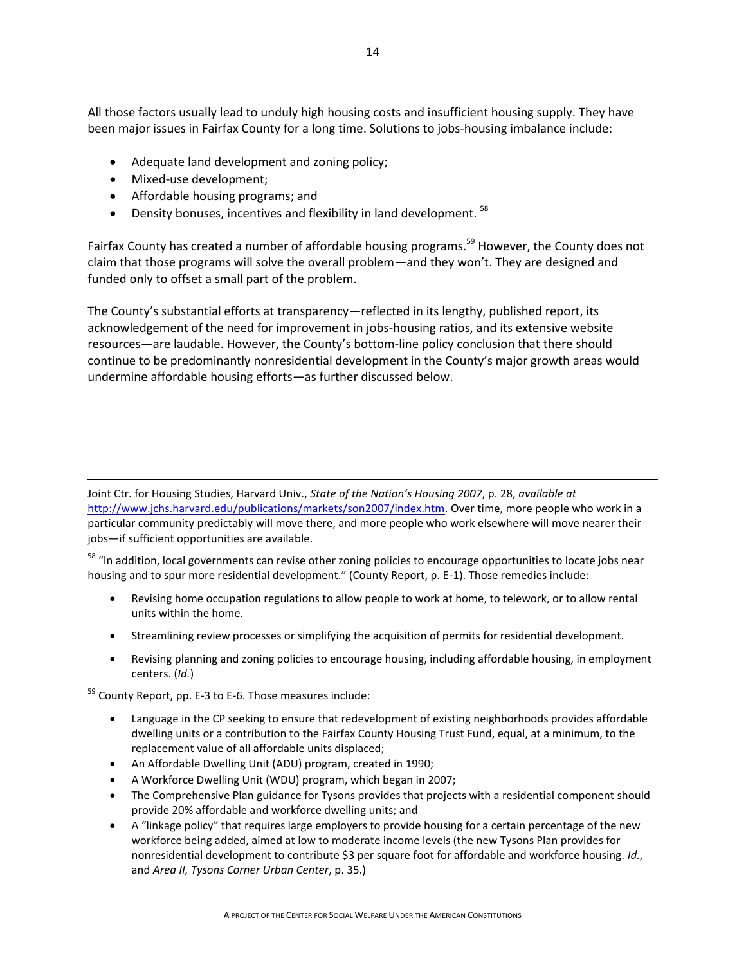All those factors usually lead to unduly high housing costs and insufficient housing supply. They have been major issues in Fairfax County for a long time. Solutions to jobs-housing imbalance include:

- Adequate land development and zoning policy;
- Mixed-use development;

 $\overline{a}$ 

- Affordable housing programs; and
- **•** Density bonuses, incentives and flexibility in land development.  $58$

Fairfax County has created a number of affordable housing programs.<sup>59</sup> However, the County does not claim that those programs will solve the overall problem—and they won't. They are designed and funded only to offset a small part of the problem.

The County's substantial efforts at transparency—reflected in its lengthy, published report, its acknowledgement of the need for improvement in jobs-housing ratios, and its extensive website resources—are laudable. However, the County's bottom-line policy conclusion that there should continue to be predominantly nonresidential development in the County's major growth areas would undermine affordable housing efforts—as further discussed below.

Joint Ctr. for Housing Studies, Harvard Univ., *State of the Nation's Housing 2007*, p. 28, *available at* [http://www.jchs.harvard.edu/publications/markets/son2007/index.htm.](http://www.jchs.harvard.edu/publications/markets/son2007/index.htm) Over time, more people who work in a particular community predictably will move there, and more people who work elsewhere will move nearer their jobs—if sufficient opportunities are available.

<sup>58</sup> "In addition, local governments can revise other zoning policies to encourage opportunities to locate jobs near housing and to spur more residential development." (County Report, p. E-1). Those remedies include:

- Revising home occupation regulations to allow people to work at home, to telework, or to allow rental units within the home.
- Streamlining review processes or simplifying the acquisition of permits for residential development.
- Revising planning and zoning policies to encourage housing, including affordable housing, in employment centers. (*Id.*)

<sup>59</sup> County Report, pp. E-3 to E-6. Those measures include:

- Language in the CP seeking to ensure that redevelopment of existing neighborhoods provides affordable dwelling units or a contribution to the Fairfax County Housing Trust Fund, equal, at a minimum, to the replacement value of all affordable units displaced;
- An Affordable Dwelling Unit (ADU) program, created in 1990;
- A Workforce Dwelling Unit (WDU) program, which began in 2007;
- The Comprehensive Plan guidance for Tysons provides that projects with a residential component should provide 20% affordable and workforce dwelling units; and
- A "linkage policy" that requires large employers to provide housing for a certain percentage of the new workforce being added, aimed at low to moderate income levels (the new Tysons Plan provides for nonresidential development to contribute \$3 per square foot for affordable and workforce housing. *Id.*, and *Area II, Tysons Corner Urban Center*, p. 35.)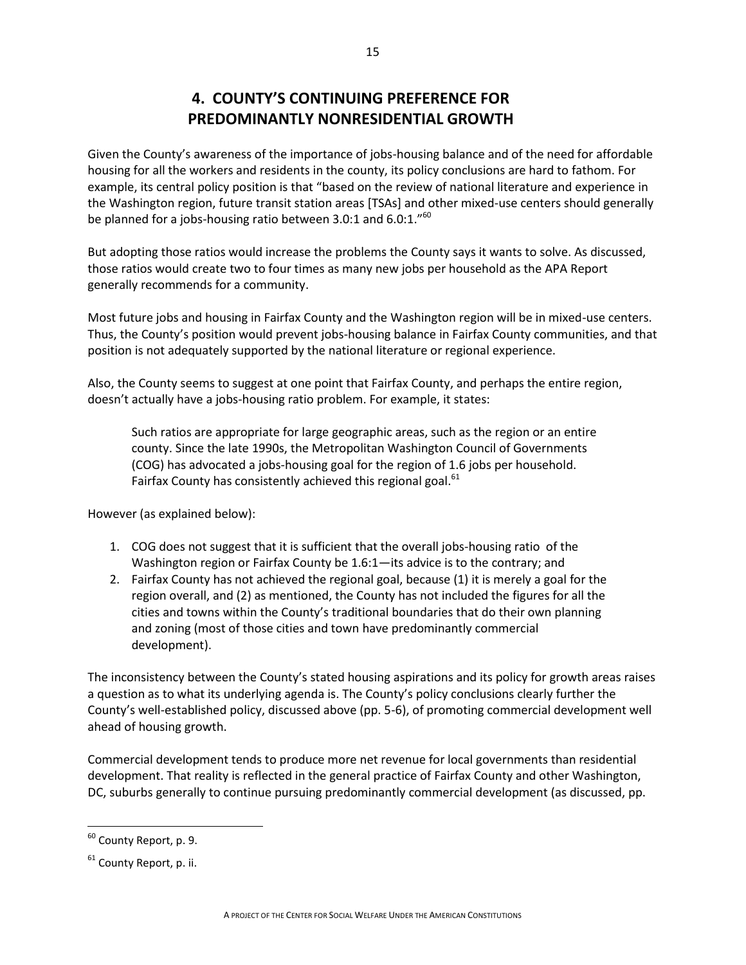# **4. COUNTY'S CONTINUING PREFERENCE FOR PREDOMINANTLY NONRESIDENTIAL GROWTH**

Given the County's awareness of the importance of jobs-housing balance and of the need for affordable housing for all the workers and residents in the county, its policy conclusions are hard to fathom. For example, its central policy position is that "based on the review of national literature and experience in the Washington region, future transit station areas [TSAs] and other mixed-use centers should generally be planned for a jobs-housing ratio between 3.0:1 and 6.0:1."<sup>60</sup>

But adopting those ratios would increase the problems the County says it wants to solve. As discussed, those ratios would create two to four times as many new jobs per household as the APA Report generally recommends for a community.

Most future jobs and housing in Fairfax County and the Washington region will be in mixed-use centers. Thus, the County's position would prevent jobs-housing balance in Fairfax County communities, and that position is not adequately supported by the national literature or regional experience.

Also, the County seems to suggest at one point that Fairfax County, and perhaps the entire region, doesn't actually have a jobs-housing ratio problem. For example, it states:

Such ratios are appropriate for large geographic areas, such as the region or an entire county. Since the late 1990s, the Metropolitan Washington Council of Governments (COG) has advocated a jobs-housing goal for the region of 1.6 jobs per household. Fairfax County has consistently achieved this regional goal.<sup>61</sup>

However (as explained below):

- 1. COG does not suggest that it is sufficient that the overall jobs-housing ratio of the Washington region or Fairfax County be 1.6:1—its advice is to the contrary; and
- 2. Fairfax County has not achieved the regional goal, because (1) it is merely a goal for the region overall, and (2) as mentioned, the County has not included the figures for all the cities and towns within the County's traditional boundaries that do their own planning and zoning (most of those cities and town have predominantly commercial development).

The inconsistency between the County's stated housing aspirations and its policy for growth areas raises a question as to what its underlying agenda is. The County's policy conclusions clearly further the County's well-established policy, discussed above (pp. 5-6), of promoting commercial development well ahead of housing growth.

Commercial development tends to produce more net revenue for local governments than residential development. That reality is reflected in the general practice of Fairfax County and other Washington, DC, suburbs generally to continue pursuing predominantly commercial development (as discussed, pp.

l

<sup>60</sup> County Report, p. 9.

 $61$  County Report, p. ii.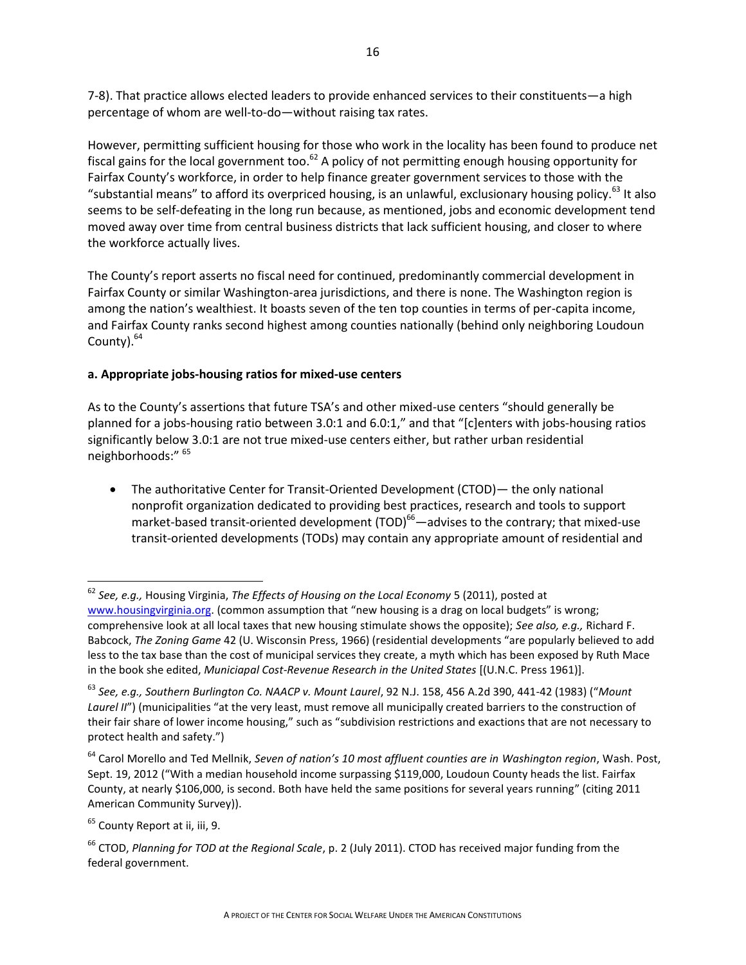7-8). That practice allows elected leaders to provide enhanced services to their constituents—a high percentage of whom are well-to-do—without raising tax rates.

However, permitting sufficient housing for those who work in the locality has been found to produce net fiscal gains for the local government too.<sup>62</sup> A policy of not permitting enough housing opportunity for Fairfax County's workforce, in order to help finance greater government services to those with the "substantial means" to afford its overpriced housing, is an unlawful, exclusionary housing policy.<sup>63</sup> It also seems to be self-defeating in the long run because, as mentioned, jobs and economic development tend moved away over time from central business districts that lack sufficient housing, and closer to where the workforce actually lives.

The County's report asserts no fiscal need for continued, predominantly commercial development in Fairfax County or similar Washington-area jurisdictions, and there is none. The Washington region is among the nation's wealthiest. It boasts seven of the ten top counties in terms of per-capita income, and Fairfax County ranks second highest among counties nationally (behind only neighboring Loudoun County).<sup>64</sup>

### **a. Appropriate jobs-housing ratios for mixed-use centers**

As to the County's assertions that future TSA's and other mixed-use centers "should generally be planned for a jobs-housing ratio between 3.0:1 and 6.0:1," and that "[c]enters with jobs-housing ratios significantly below 3.0:1 are not true mixed-use centers either, but rather urban residential neighborhoods:" <sup>65</sup>

 The authoritative Center for Transit-Oriented Development (CTOD)— the only national nonprofit organization dedicated to providing best practices, research and tools to support market-based transit-oriented development (TOD) $^{66}$  -advises to the contrary; that mixed-use transit-oriented developments (TODs) may contain any appropriate amount of residential and

 $\overline{\phantom{a}}$ 

<sup>62</sup> *See, e.g.,* Housing Virginia, *The Effects of Housing on the Local Economy* 5 (2011), posted at [www.housingvirginia.org](http://www.housingvirginia.org/). (common assumption that "new housing is a drag on local budgets" is wrong; comprehensive look at all local taxes that new housing stimulate shows the opposite); *See also, e.g.,* Richard F. Babcock, *The Zoning Game* 42 (U. Wisconsin Press, 1966) (residential developments "are popularly believed to add less to the tax base than the cost of municipal services they create, a myth which has been exposed by Ruth Mace in the book she edited, *Municiapal Cost-Revenue Research in the United States* [(U.N.C. Press 1961)].

<sup>63</sup> *See, e.g., Southern Burlington Co. NAACP v. Mount Laurel*, 92 N.J. 158, 456 A.2d 390, 441-42 (1983) ("*Mount Laurel II"*) (municipalities "at the very least, must remove all municipally created barriers to the construction of their fair share of lower income housing," such as "subdivision restrictions and exactions that are not necessary to protect health and safety.")

<sup>64</sup> Carol Morello and Ted Mellnik, *Seven of nation's 10 most affluent counties are in Washington region*, Wash. Post, Sept. 19, 2012 ("With a median household income surpassing \$119,000, Loudoun County heads the list. Fairfax County, at nearly \$106,000, is second. Both have held the same positions for several years running" (citing 2011 American Community Survey)).

<sup>&</sup>lt;sup>65</sup> County Report at ii, iii, 9.

<sup>66</sup> CTOD, *Planning for TOD at the Regional Scale*, p. 2 (July 2011). CTOD has received major funding from the federal government.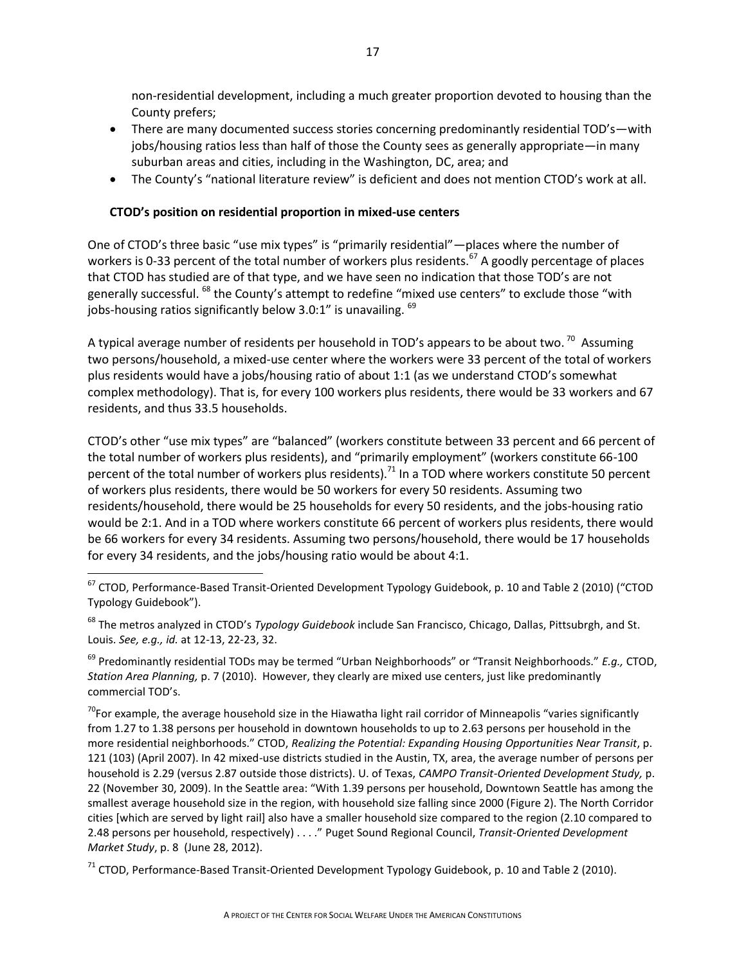non-residential development, including a much greater proportion devoted to housing than the County prefers;

- There are many documented success stories concerning predominantly residential TOD's—with jobs/housing ratios less than half of those the County sees as generally appropriate—in many suburban areas and cities, including in the Washington, DC, area; and
- The County's "national literature review" is deficient and does not mention CTOD's work at all.

### **CTOD's position on residential proportion in mixed-use centers**

 $\overline{\phantom{a}}$ 

One of CTOD's three basic "use mix types" is "primarily residential"—places where the number of workers is 0-33 percent of the total number of workers plus residents.<sup>67</sup> A goodly percentage of places that CTOD has studied are of that type, and we have seen no indication that those TOD's are not generally successful. <sup>68</sup> the County's attempt to redefine "mixed use centers" to exclude those "with jobs-housing ratios significantly below 3.0:1" is unavailing. <sup>69</sup>

A typical average number of residents per household in TOD's appears to be about two.  $^{70}$  Assuming two persons/household, a mixed-use center where the workers were 33 percent of the total of workers plus residents would have a jobs/housing ratio of about 1:1 (as we understand CTOD's somewhat complex methodology). That is, for every 100 workers plus residents, there would be 33 workers and 67 residents, and thus 33.5 households.

CTOD's other "use mix types" are "balanced" (workers constitute between 33 percent and 66 percent of the total number of workers plus residents), and "primarily employment" (workers constitute 66-100 percent of the total number of workers plus residents).<sup>71</sup> In a TOD where workers constitute 50 percent of workers plus residents, there would be 50 workers for every 50 residents. Assuming two residents/household, there would be 25 households for every 50 residents, and the jobs-housing ratio would be 2:1. And in a TOD where workers constitute 66 percent of workers plus residents, there would be 66 workers for every 34 residents. Assuming two persons/household, there would be 17 households for every 34 residents, and the jobs/housing ratio would be about 4:1.

<sup>67</sup> CTOD, Performance-Based Transit-Oriented Development Typology Guidebook, p. 10 and Table 2 (2010) ("CTOD Typology Guidebook").

<sup>68</sup> The metros analyzed in CTOD's *Typology Guidebook* include San Francisco, Chicago, Dallas, Pittsubrgh, and St. Louis. *See, e.g., id.* at 12-13, 22-23, 32.

<sup>69</sup> Predominantly residential TODs may be termed "Urban Neighborhoods" or "Transit Neighborhoods." *E.g.,* CTOD, *Station Area Planning,* p. 7 (2010). However, they clearly are mixed use centers, just like predominantly commercial TOD's.

<sup>70</sup>For example, the average household size in the Hiawatha light rail corridor of Minneapolis "varies significantly from 1.27 to 1.38 persons per household in downtown households to up to 2.63 persons per household in the more residential neighborhoods." CTOD, *Realizing the Potential: Expanding Housing Opportunities Near Transit*, p. 121 (103) (April 2007). In 42 mixed-use districts studied in the Austin, TX, area, the average number of persons per household is 2.29 (versus 2.87 outside those districts). U. of Texas, *CAMPO Transit-Oriented Development Study,* p. 22 (November 30, 2009). In the Seattle area: "With 1.39 persons per household, Downtown Seattle has among the smallest average household size in the region, with household size falling since 2000 (Figure 2). The North Corridor cities [which are served by light rail] also have a smaller household size compared to the region (2.10 compared to 2.48 persons per household, respectively) . . . ." Puget Sound Regional Council, *Transit-Oriented Development Market Study*, p. 8 (June 28, 2012).

<sup>71</sup> CTOD, Performance-Based Transit-Oriented Development Typology Guidebook, p. 10 and Table 2 (2010).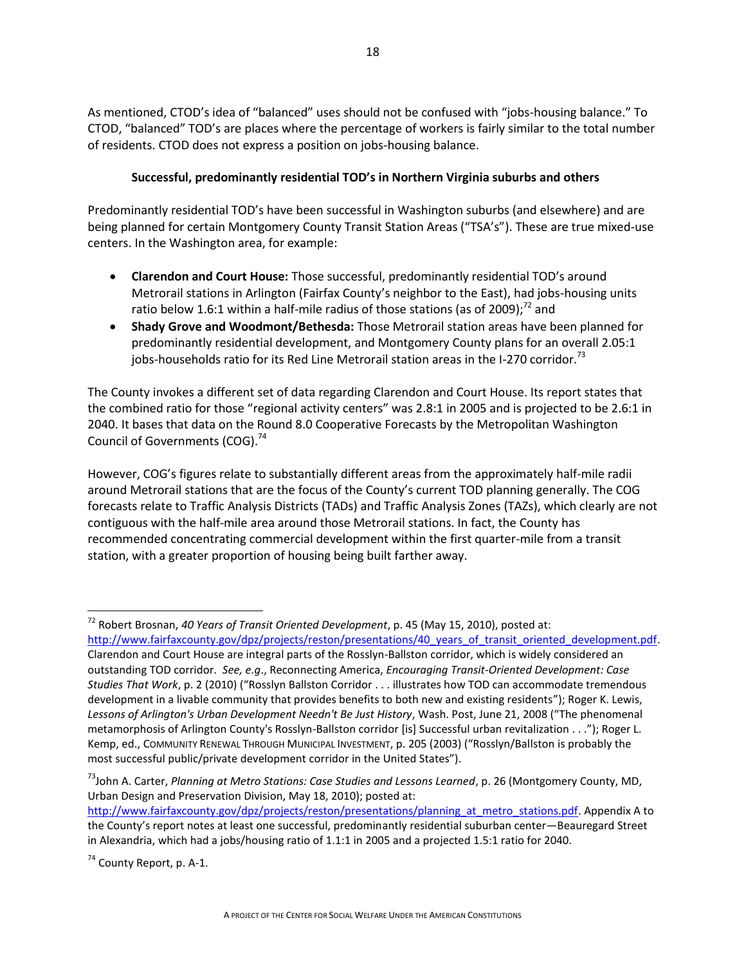As mentioned, CTOD's idea of "balanced" uses should not be confused with "jobs-housing balance." To CTOD, "balanced" TOD's are places where the percentage of workers is fairly similar to the total number of residents. CTOD does not express a position on jobs-housing balance.

### **Successful, predominantly residential TOD's in Northern Virginia suburbs and others**

Predominantly residential TOD's have been successful in Washington suburbs (and elsewhere) and are being planned for certain Montgomery County Transit Station Areas ("TSA's"). These are true mixed-use centers. In the Washington area, for example:

- **Clarendon and Court House:** Those successful, predominantly residential TOD's around Metrorail stations in Arlington (Fairfax County's neighbor to the East), had jobs-housing units ratio below 1.6:1 within a half-mile radius of those stations (as of 2009);<sup>72</sup> and
- **Shady Grove and Woodmont/Bethesda:** Those Metrorail station areas have been planned for predominantly residential development, and Montgomery County plans for an overall 2.05:1 jobs-households ratio for its Red Line Metrorail station areas in the I-270 corridor.<sup>73</sup>

The County invokes a different set of data regarding Clarendon and Court House. Its report states that the combined ratio for those "regional activity centers" was 2.8:1 in 2005 and is projected to be 2.6:1 in 2040. It bases that data on the Round 8.0 Cooperative Forecasts by the Metropolitan Washington Council of Governments (COG).<sup>74</sup>

However, COG's figures relate to substantially different areas from the approximately half-mile radii around Metrorail stations that are the focus of the County's current TOD planning generally. The COG forecasts relate to Traffic Analysis Districts (TADs) and Traffic Analysis Zones (TAZs), which clearly are not contiguous with the half-mile area around those Metrorail stations. In fact, the County has recommended concentrating commercial development within the first quarter-mile from a transit station, with a greater proportion of housing being built farther away.

<sup>74</sup> County Report, p. A-1.

l

<sup>72</sup> Robert Brosnan, *40 Years of Transit Oriented Development*, p. 45 (May 15, 2010), posted at: http://www.fairfaxcounty.gov/dpz/projects/reston/presentations/40 years of transit oriented development.pdf. Clarendon and Court House are integral parts of the Rosslyn-Ballston corridor, which is widely considered an outstanding TOD corridor. *See, e.g*., Reconnecting America, *Encouraging Transit-Oriented Development: Case Studies That Work*, p. 2 (2010) ("Rosslyn Ballston Corridor . . . illustrates how TOD can accommodate tremendous development in a livable community that provides benefits to both new and existing residents"); Roger K. Lewis, *Lessons of Arlington's Urban Development Needn't Be Just History*, Wash. Post, June 21, 2008 ("The phenomenal metamorphosis of Arlington County's Rosslyn-Ballston corridor [is] Successful urban revitalization . . ."); Roger L. Kemp, ed., COMMUNITY RENEWAL THROUGH MUNICIPAL INVESTMENT, p. 205 (2003) ("Rosslyn/Ballston is probably the most successful public/private development corridor in the United States").

<sup>73</sup>John A. Carter, *Planning at Metro Stations: Case Studies and Lessons Learned*, p. 26 (Montgomery County, MD, Urban Design and Preservation Division, May 18, 2010); posted at:

[http://www.fairfaxcounty.gov/dpz/projects/reston/presentations/planning\\_at\\_metro\\_stations.pdf.](http://www.fairfaxcounty.gov/dpz/projects/reston/presentations/planning_at_metro_stations.pdf) Appendix A to the County's report notes at least one successful, predominantly residential suburban center—Beauregard Street in Alexandria, which had a jobs/housing ratio of 1.1:1 in 2005 and a projected 1.5:1 ratio for 2040.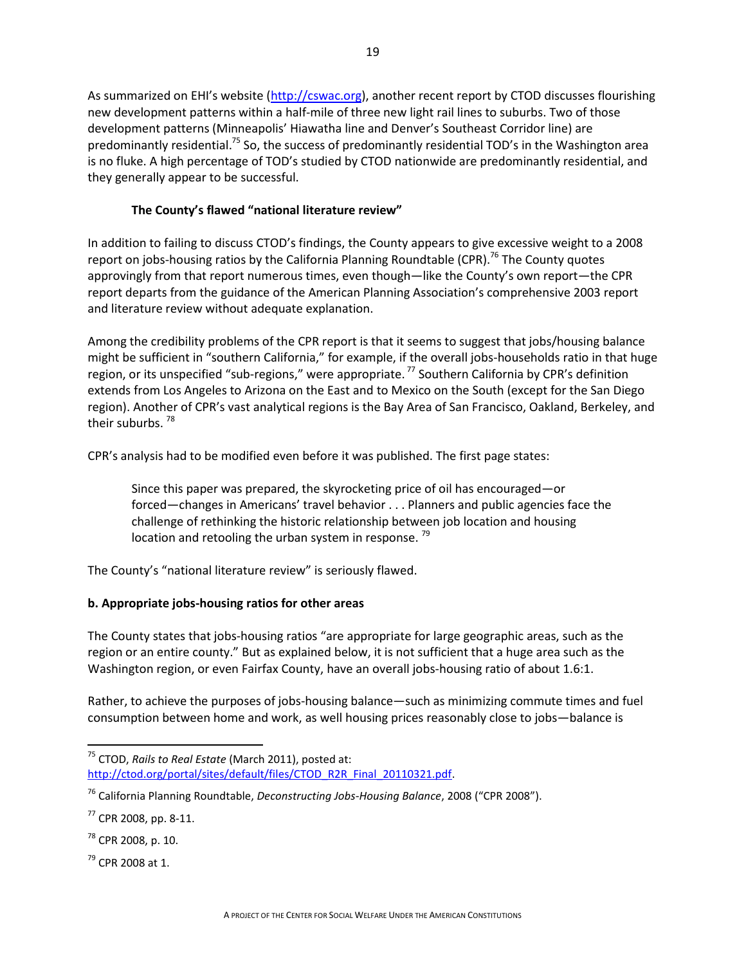As summarized on EHI's website ([http://cswac.org\)](http://cswac.org/), another recent report by CTOD discusses flourishing new development patterns within a half-mile of three new light rail lines to suburbs. Two of those development patterns (Minneapolis' Hiawatha line and Denver's Southeast Corridor line) are predominantly residential.<sup>75</sup> So, the success of predominantly residential TOD's in the Washington area is no fluke. A high percentage of TOD's studied by CTOD nationwide are predominantly residential, and they generally appear to be successful.

### **The County's flawed "national literature review"**

In addition to failing to discuss CTOD's findings, the County appears to give excessive weight to a 2008 report on jobs-housing ratios by the California Planning Roundtable (CPR).<sup>76</sup> The County quotes approvingly from that report numerous times, even though—like the County's own report—the CPR report departs from the guidance of the American Planning Association's comprehensive 2003 report and literature review without adequate explanation.

Among the credibility problems of the CPR report is that it seems to suggest that jobs/housing balance might be sufficient in "southern California," for example, if the overall jobs-households ratio in that huge region, or its unspecified "sub-regions," were appropriate.<sup>77</sup> Southern California by CPR's definition extends from Los Angeles to Arizona on the East and to Mexico on the South (except for the San Diego region). Another of CPR's vast analytical regions is the Bay Area of San Francisco, Oakland, Berkeley, and their suburbs.<sup>78</sup>

CPR's analysis had to be modified even before it was published. The first page states:

Since this paper was prepared, the skyrocketing price of oil has encouraged—or forced—changes in Americans' travel behavior . . . Planners and public agencies face the challenge of rethinking the historic relationship between job location and housing location and retooling the urban system in response.<sup>79</sup>

The County's "national literature review" is seriously flawed.

### **b. Appropriate jobs-housing ratios for other areas**

The County states that jobs-housing ratios "are appropriate for large geographic areas, such as the region or an entire county." But as explained below, it is not sufficient that a huge area such as the Washington region, or even Fairfax County, have an overall jobs-housing ratio of about 1.6:1.

Rather, to achieve the purposes of jobs-housing balance—such as minimizing commute times and fuel consumption between home and work, as well housing prices reasonably close to jobs—balance is

 $\overline{a}$ <sup>75</sup> CTOD, *Rails to Real Estate* (March 2011), posted at: [http://ctod.org/portal/sites/default/files/CTOD\\_R2R\\_Final\\_20110321.pdf.](http://ctod.org/portal/sites/default/files/CTOD_R2R_Final_20110321.pdf)

<sup>76</sup> California Planning Roundtable, *Deconstructing Jobs-Housing Balance*, 2008 ("CPR 2008").

 $77$  CPR 2008, pp. 8-11.

 $78$  CPR 2008, p. 10.

 $79$  CPR 2008 at 1.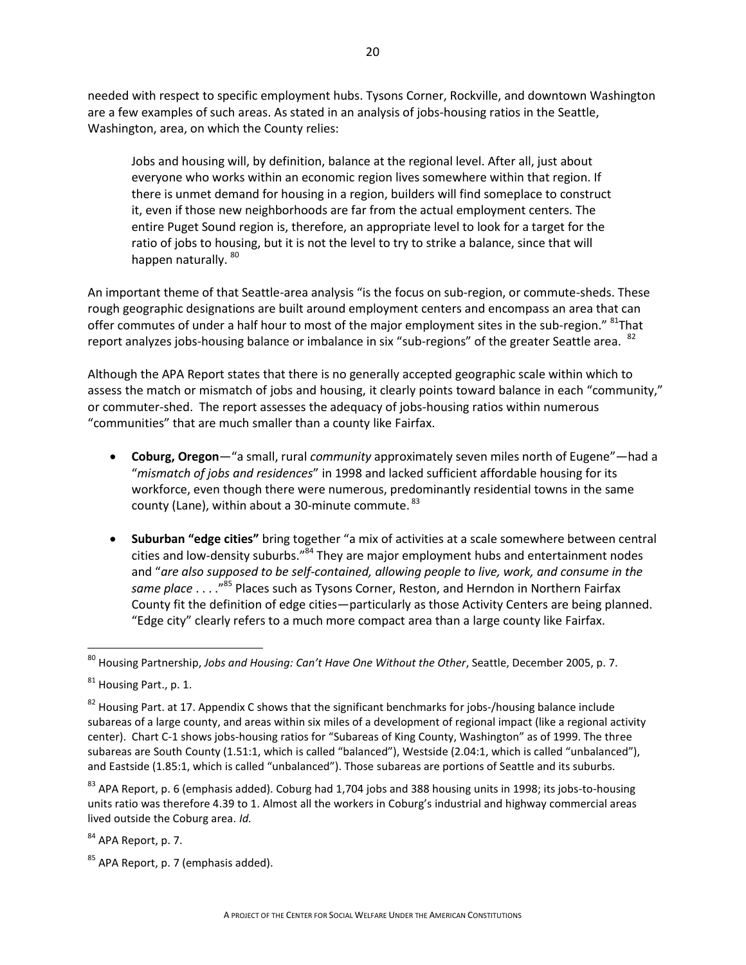needed with respect to specific employment hubs. Tysons Corner, Rockville, and downtown Washington are a few examples of such areas. As stated in an analysis of jobs-housing ratios in the Seattle, Washington, area, on which the County relies:

Jobs and housing will, by definition, balance at the regional level. After all, just about everyone who works within an economic region lives somewhere within that region. If there is unmet demand for housing in a region, builders will find someplace to construct it, even if those new neighborhoods are far from the actual employment centers. The entire Puget Sound region is, therefore, an appropriate level to look for a target for the ratio of jobs to housing, but it is not the level to try to strike a balance, since that will happen naturally. 80

An important theme of that Seattle-area analysis "is the focus on sub-region, or commute-sheds. These rough geographic designations are built around employment centers and encompass an area that can offer commutes of under a half hour to most of the major employment sites in the sub-region." <sup>81</sup>That report analyzes jobs-housing balance or imbalance in six "sub-regions" of the greater Seattle area. <sup>82</sup>

Although the APA Report states that there is no generally accepted geographic scale within which to assess the match or mismatch of jobs and housing, it clearly points toward balance in each "community," or commuter-shed. The report assesses the adequacy of jobs-housing ratios within numerous "communities" that are much smaller than a county like Fairfax.

- **Coburg, Oregon**—"a small, rural *community* approximately seven miles north of Eugene"—had a "*mismatch of jobs and residences*" in 1998 and lacked sufficient affordable housing for its workforce, even though there were numerous, predominantly residential towns in the same county (Lane), within about a 30-minute commute. <sup>83</sup>
- **Suburban "edge cities"** bring together "a mix of activities at a scale somewhere between central cities and low-density suburbs."<sup>84</sup> They are major employment hubs and entertainment nodes and "*are also supposed to be self-contained, allowing people to live, work, and consume in the same place* . . . ."<sup>85</sup> Places such as Tysons Corner, Reston, and Herndon in Northern Fairfax County fit the definition of edge cities—particularly as those Activity Centers are being planned. "Edge city" clearly refers to a much more compact area than a large county like Fairfax.

 $83$  APA Report, p. 6 (emphasis added). Coburg had 1,704 jobs and 388 housing units in 1998; its jobs-to-housing units ratio was therefore 4.39 to 1. Almost all the workers in Coburg's industrial and highway commercial areas lived outside the Coburg area. *Id.* 

 $84$  APA Report, p. 7.

 $85$  APA Report, p. 7 (emphasis added).

 $\overline{\phantom{a}}$ <sup>80</sup> Housing Partnership, *Jobs and Housing: Can't Have One Without the Other*, Seattle, December 2005, p. 7.

<sup>81</sup> Housing Part., p. 1.

<sup>&</sup>lt;sup>82</sup> Housing Part. at 17. Appendix C shows that the significant benchmarks for jobs-/housing balance include subareas of a large county, and areas within six miles of a development of regional impact (like a regional activity center). Chart C-1 shows jobs-housing ratios for "Subareas of King County, Washington" as of 1999. The three subareas are South County (1.51:1, which is called "balanced"), Westside (2.04:1, which is called "unbalanced"), and Eastside (1.85:1, which is called "unbalanced"). Those subareas are portions of Seattle and its suburbs.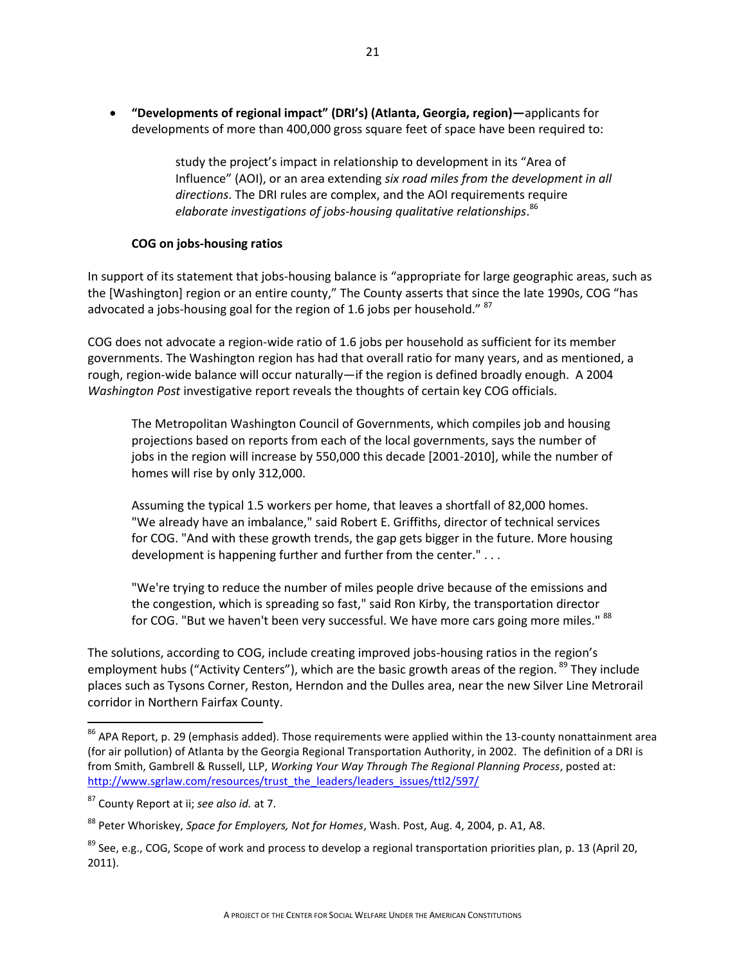**"Developments of regional impact" (DRI's) (Atlanta, Georgia, region)—**applicants for developments of more than 400,000 gross square feet of space have been required to:

> study the project's impact in relationship to development in its "Area of Influence" (AOI), or an area extending *six road miles from the development in all directions*. The DRI rules are complex, and the AOI requirements require *elaborate investigations of jobs-housing qualitative relationships*. 86

#### **COG on jobs-housing ratios**

In support of its statement that jobs-housing balance is "appropriate for large geographic areas, such as the [Washington] region or an entire county," The County asserts that since the late 1990s, COG "has advocated a jobs-housing goal for the region of 1.6 jobs per household."  $87$ 

COG does not advocate a region-wide ratio of 1.6 jobs per household as sufficient for its member governments. The Washington region has had that overall ratio for many years, and as mentioned, a rough, region-wide balance will occur naturally—if the region is defined broadly enough. A 2004 *Washington Post* investigative report reveals the thoughts of certain key COG officials.

The Metropolitan Washington Council of Governments, which compiles job and housing projections based on reports from each of the local governments, says the number of jobs in the region will increase by 550,000 this decade [2001-2010], while the number of homes will rise by only 312,000.

Assuming the typical 1.5 workers per home, that leaves a shortfall of 82,000 homes. "We already have an imbalance," said Robert E. Griffiths, director of technical services for COG. "And with these growth trends, the gap gets bigger in the future. More housing development is happening further and further from the center." . . .

"We're trying to reduce the number of miles people drive because of the emissions and the congestion, which is spreading so fast," said Ron Kirby, the transportation director for COG. "But we haven't been very successful. We have more cars going more miles." 88

The solutions, according to COG, include creating improved jobs-housing ratios in the region's employment hubs ("Activity Centers"), which are the basic growth areas of the region. <sup>89</sup> They include places such as Tysons Corner, Reston, Herndon and the Dulles area, near the new Silver Line Metrorail corridor in Northern Fairfax County.

 $\overline{\phantom{a}}$ 

<sup>&</sup>lt;sup>86</sup> APA Report, p. 29 (emphasis added). Those requirements were applied within the 13-county nonattainment area (for air pollution) of Atlanta by the Georgia Regional Transportation Authority, in 2002. The definition of a DRI is from Smith, Gambrell & Russell, LLP, *Working Your Way Through The Regional Planning Process*, posted at: [http://www.sgrlaw.com/resources/trust\\_the\\_leaders/leaders\\_issues/ttl2/597/](http://www.sgrlaw.com/resources/trust_the_leaders/leaders_issues/ttl2/597/)

<sup>87</sup> County Report at ii; *see also id.* at 7.

<sup>88</sup> Peter Whoriskey, *Space for Employers, Not for Homes*, Wash. Post, Aug. 4, 2004, p. A1, A8.

 $89$  See, e.g., COG, Scope of work and process to develop a regional transportation priorities plan, p. 13 (April 20, 2011).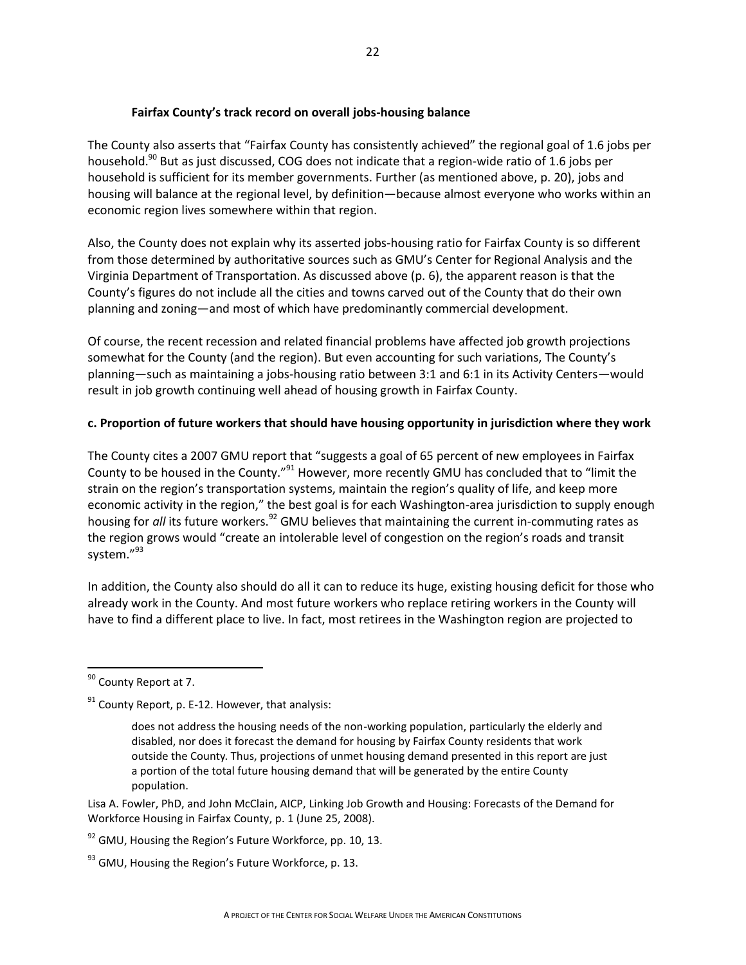### **Fairfax County's track record on overall jobs-housing balance**

The County also asserts that "Fairfax County has consistently achieved" the regional goal of 1.6 jobs per household.<sup>90</sup> But as just discussed, COG does not indicate that a region-wide ratio of 1.6 jobs per household is sufficient for its member governments. Further (as mentioned above, p. 20), jobs and housing will balance at the regional level, by definition—because almost everyone who works within an economic region lives somewhere within that region.

Also, the County does not explain why its asserted jobs-housing ratio for Fairfax County is so different from those determined by authoritative sources such as GMU's Center for Regional Analysis and the Virginia Department of Transportation. As discussed above (p. 6), the apparent reason is that the County's figures do not include all the cities and towns carved out of the County that do their own planning and zoning—and most of which have predominantly commercial development.

Of course, the recent recession and related financial problems have affected job growth projections somewhat for the County (and the region). But even accounting for such variations, The County's planning—such as maintaining a jobs-housing ratio between 3:1 and 6:1 in its Activity Centers—would result in job growth continuing well ahead of housing growth in Fairfax County.

### **c. Proportion of future workers that should have housing opportunity in jurisdiction where they work**

The County cites a 2007 GMU report that "suggests a goal of 65 percent of new employees in Fairfax County to be housed in the County."<sup>91</sup> However, more recently GMU has concluded that to "limit the strain on the region's transportation systems, maintain the region's quality of life, and keep more economic activity in the region," the best goal is for each Washington-area jurisdiction to supply enough housing for *all* its future workers.<sup>92</sup> GMU believes that maintaining the current in-commuting rates as the region grows would "create an intolerable level of congestion on the region's roads and transit system."<sup>93</sup>

In addition, the County also should do all it can to reduce its huge, existing housing deficit for those who already work in the County. And most future workers who replace retiring workers in the County will have to find a different place to live. In fact, most retirees in the Washington region are projected to

l

Lisa A. Fowler, PhD, and John McClain, AICP, Linking Job Growth and Housing: Forecasts of the Demand for Workforce Housing in Fairfax County, p. 1 (June 25, 2008).

 $92$  GMU, Housing the Region's Future Workforce, pp. 10, 13.

<sup>&</sup>lt;sup>90</sup> County Report at 7.

 $91$  County Report, p. E-12. However, that analysis:

does not address the housing needs of the non-working population, particularly the elderly and disabled, nor does it forecast the demand for housing by Fairfax County residents that work outside the County. Thus, projections of unmet housing demand presented in this report are just a portion of the total future housing demand that will be generated by the entire County population.

 $93$  GMU, Housing the Region's Future Workforce, p. 13.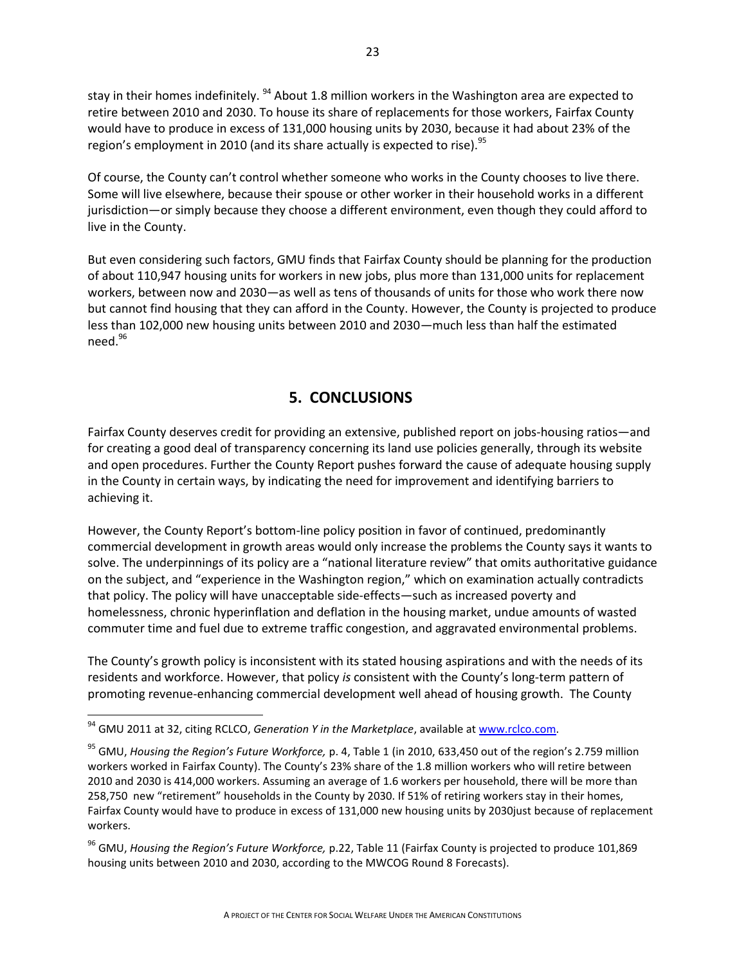stay in their homes indefinitely. <sup>94</sup> About 1.8 million workers in the Washington area are expected to retire between 2010 and 2030. To house its share of replacements for those workers, Fairfax County would have to produce in excess of 131,000 housing units by 2030, because it had about 23% of the region's employment in 2010 (and its share actually is expected to rise).<sup>95</sup>

Of course, the County can't control whether someone who works in the County chooses to live there. Some will live elsewhere, because their spouse or other worker in their household works in a different jurisdiction—or simply because they choose a different environment, even though they could afford to live in the County.

But even considering such factors, GMU finds that Fairfax County should be planning for the production of about 110,947 housing units for workers in new jobs, plus more than 131,000 units for replacement workers, between now and 2030—as well as tens of thousands of units for those who work there now but cannot find housing that they can afford in the County. However, the County is projected to produce less than 102,000 new housing units between 2010 and 2030—much less than half the estimated  $need.<sup>96</sup>$ 

### **5. CONCLUSIONS**

Fairfax County deserves credit for providing an extensive, published report on jobs-housing ratios—and for creating a good deal of transparency concerning its land use policies generally, through its website and open procedures. Further the County Report pushes forward the cause of adequate housing supply in the County in certain ways, by indicating the need for improvement and identifying barriers to achieving it.

However, the County Report's bottom-line policy position in favor of continued, predominantly commercial development in growth areas would only increase the problems the County says it wants to solve. The underpinnings of its policy are a "national literature review" that omits authoritative guidance on the subject, and "experience in the Washington region," which on examination actually contradicts that policy. The policy will have unacceptable side-effects—such as increased poverty and homelessness, chronic hyperinflation and deflation in the housing market, undue amounts of wasted commuter time and fuel due to extreme traffic congestion, and aggravated environmental problems.

The County's growth policy is inconsistent with its stated housing aspirations and with the needs of its residents and workforce. However, that policy *is* consistent with the County's long-term pattern of promoting revenue-enhancing commercial development well ahead of housing growth. The County

l

<sup>&</sup>lt;sup>94</sup> GMU 2011 at 32, citing RCLCO, *Generation Y in the Marketplace*, available at [www.rclco.com.](http://www.rclco.com/)

<sup>95</sup> GMU, *Housing the Region's Future Workforce,* p. 4, Table 1 (in 2010, 633,450 out of the region's 2.759 million workers worked in Fairfax County). The County's 23% share of the 1.8 million workers who will retire between 2010 and 2030 is 414,000 workers. Assuming an average of 1.6 workers per household, there will be more than 258,750 new "retirement" households in the County by 2030. If 51% of retiring workers stay in their homes, Fairfax County would have to produce in excess of 131,000 new housing units by 2030just because of replacement workers.

<sup>96</sup> GMU, *Housing the Region's Future Workforce,* p.22, Table 11 (Fairfax County is projected to produce 101,869 housing units between 2010 and 2030, according to the MWCOG Round 8 Forecasts).